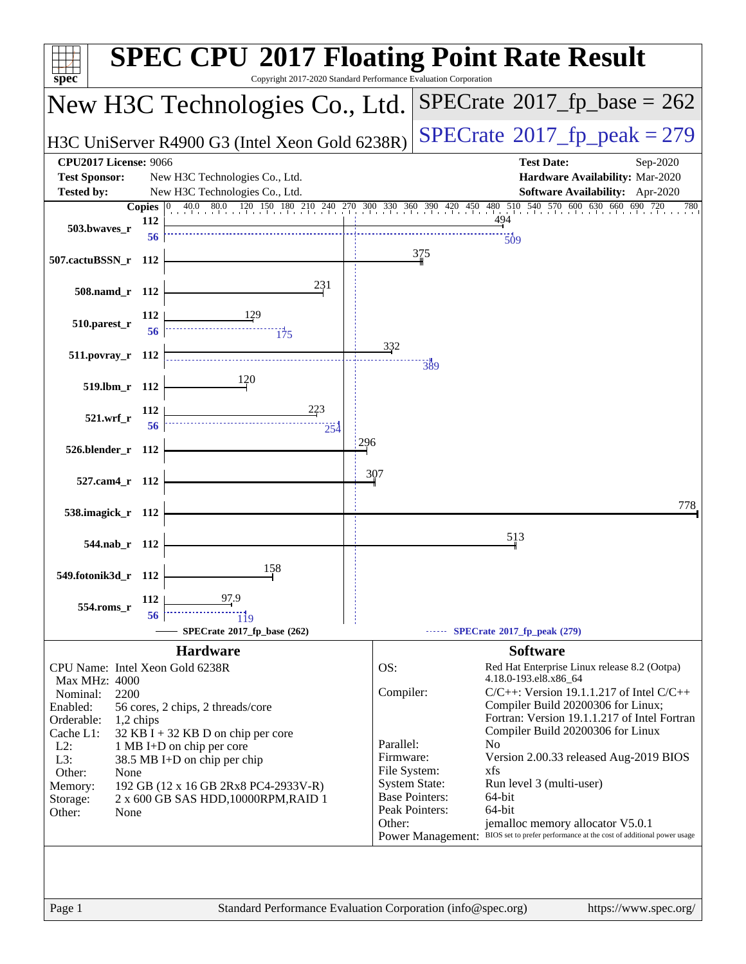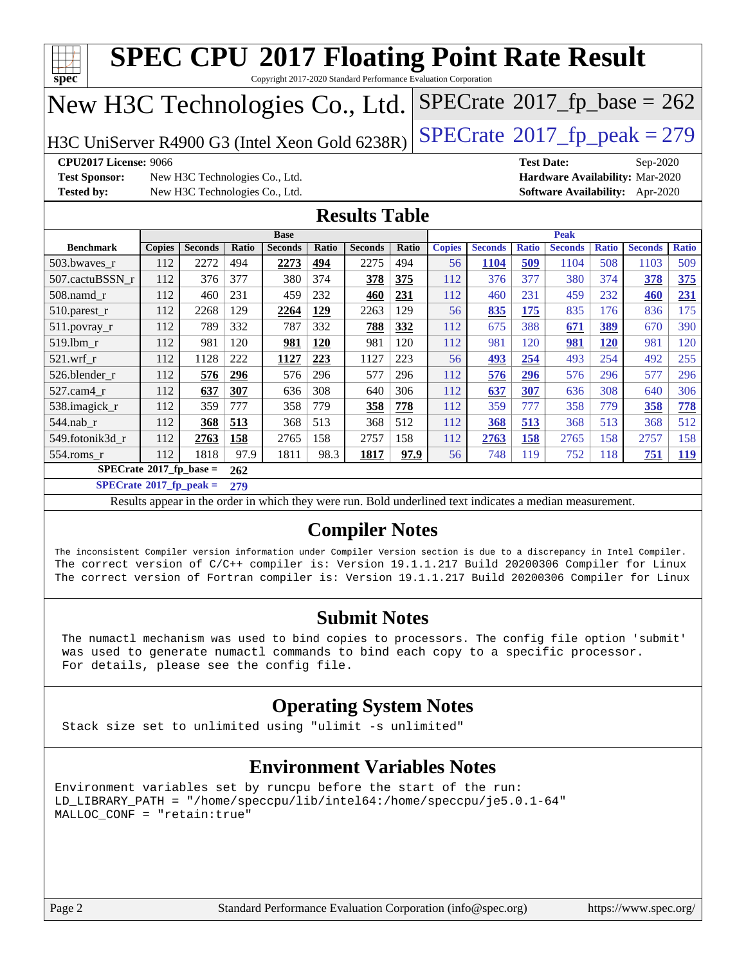| spec<br>Copyright 2017-2020 Standard Performance Evaluation Corporation<br>$SPECTate$ <sup>®</sup> 2017_fp_base = 262<br>New H3C Technologies Co., Ltd. |               |                                |       |                |       |                |       |               |                |                   |                |              |                                 |              |
|---------------------------------------------------------------------------------------------------------------------------------------------------------|---------------|--------------------------------|-------|----------------|-------|----------------|-------|---------------|----------------|-------------------|----------------|--------------|---------------------------------|--------------|
| $SPECTate@2017_fp\_peak = 279$<br>H3C UniServer R4900 G3 (Intel Xeon Gold 6238R)                                                                        |               |                                |       |                |       |                |       |               |                |                   |                |              |                                 |              |
| <b>CPU2017 License: 9066</b>                                                                                                                            |               |                                |       |                |       |                |       |               |                | <b>Test Date:</b> |                |              | Sep-2020                        |              |
| <b>Test Sponsor:</b>                                                                                                                                    |               | New H3C Technologies Co., Ltd. |       |                |       |                |       |               |                |                   |                |              | Hardware Availability: Mar-2020 |              |
| <b>Tested by:</b>                                                                                                                                       |               | New H3C Technologies Co., Ltd. |       |                |       |                |       |               |                |                   |                |              | Software Availability: Apr-2020 |              |
| <b>Results Table</b>                                                                                                                                    |               |                                |       |                |       |                |       |               |                |                   |                |              |                                 |              |
|                                                                                                                                                         |               |                                |       | <b>Base</b>    |       |                |       |               |                |                   | <b>Peak</b>    |              |                                 |              |
| <b>Benchmark</b>                                                                                                                                        | <b>Copies</b> | <b>Seconds</b>                 | Ratio | <b>Seconds</b> | Ratio | <b>Seconds</b> | Ratio | <b>Copies</b> | <b>Seconds</b> | <b>Ratio</b>      | <b>Seconds</b> | <b>Ratio</b> | <b>Seconds</b>                  | <b>Ratio</b> |
| 503.bwaves_r                                                                                                                                            | 112           | 2272                           | 494   | 2273           | 494   | 2275           | 494   | 56            | 1104           | 509               | 1104           | 508          | 1103                            | 509          |
| 507.cactuBSSN_r                                                                                                                                         | 112           | 376                            | 377   | 380            | 374   | 378            | 375   | 112           | 376            | 377               | 380            | 374          | 378                             | 375          |
| 508.namd r                                                                                                                                              | 112           | 460                            | 231   | 459            | 232   | 460            | 231   | 112           | 460            | 231               | 459            | 232          | 460                             | 231          |
| 510.parest_r                                                                                                                                            | 112           | 2268                           | 129   | 2264           | 129   | 2263           | 129   | 56            | 835            | 175               | 835            | 176          | 836                             | 175          |
| 511.povray_r                                                                                                                                            | 112           | 789                            | 332   | 787            | 332   | 788            | 332   | 112           | 675            | 388               | 671            | 389          | 670                             | 390          |
| 519.lbm r                                                                                                                                               | 112           | 981                            | 120   | 981            | 120   | 981            | 120   | 112           | 981            | 120               | 981            | <b>120</b>   | 981                             | 120          |
| $521$ .wrf r                                                                                                                                            | 112           | 1128                           | 222   | 1127           | 223   | 1127           | 223   | 56            | 493            | 254               | 493            | 254          | 492                             | 255          |
| 526.blender r                                                                                                                                           | 112           | 576                            | 296   | 576            | 296   | 577            | 296   | 112           | 576            | 296               | 576            | 296          | 577                             | 296          |
| 527.cam4_r                                                                                                                                              | 112           | 637                            | 307   | 636            | 308   | 640            | 306   | 112           | 637            | 307               | 636            | 308          | 640                             | 306          |
| 538.imagick_r                                                                                                                                           | 112           | 359                            | 777   | 358            | 779   | 358            | 778   | 112           | 359            | 777               | 358            | 779          | 358                             | 778          |
| 544.nab r                                                                                                                                               | 112           | 368                            | 513   | 368            | 513   | 368            | 512   | 112           | 368            | 513               | 368            | 513          | 368                             | 512          |
| 549.fotonik3d r                                                                                                                                         | 112           | 2763                           | 158   | 2765           | 158   | 2757           | 158   | 112           | 2763           | 158               | 2765           | 158          | 2757                            | 158          |
| 554.roms r                                                                                                                                              | 112           | 1818                           | 97.9  | 1811           | 98.3  | 1817           | 97.9  | 56            | 748            | 119               | 752            | 118          | 751                             | 119          |
| $SPECrate^{\circ}2017$ _fp_base =                                                                                                                       |               |                                | 262   |                |       |                |       |               |                |                   |                |              |                                 |              |
| $SPECrate^{\circ}2017$ _fp_peak =                                                                                                                       |               |                                | 279   |                |       |                |       |               |                |                   |                |              |                                 |              |
| Results appear in the order in which they were run. Bold underlined text indicates a median measurement.                                                |               |                                |       |                |       |                |       |               |                |                   |                |              |                                 |              |

The inconsistent Compiler version information under Compiler Version section is due to a discrepancy in Intel Compiler. The correct version of C/C++ compiler is: Version 19.1.1.217 Build 20200306 Compiler for Linux The correct version of Fortran compiler is: Version 19.1.1.217 Build 20200306 Compiler for Linux

#### **[Submit Notes](http://www.spec.org/auto/cpu2017/Docs/result-fields.html#SubmitNotes)**

 The numactl mechanism was used to bind copies to processors. The config file option 'submit' was used to generate numactl commands to bind each copy to a specific processor. For details, please see the config file.

### **[Operating System Notes](http://www.spec.org/auto/cpu2017/Docs/result-fields.html#OperatingSystemNotes)**

Stack size set to unlimited using "ulimit -s unlimited"

#### **[Environment Variables Notes](http://www.spec.org/auto/cpu2017/Docs/result-fields.html#EnvironmentVariablesNotes)**

Environment variables set by runcpu before the start of the run: LD\_LIBRARY\_PATH = "/home/speccpu/lib/intel64:/home/speccpu/je5.0.1-64" MALLOC\_CONF = "retain:true"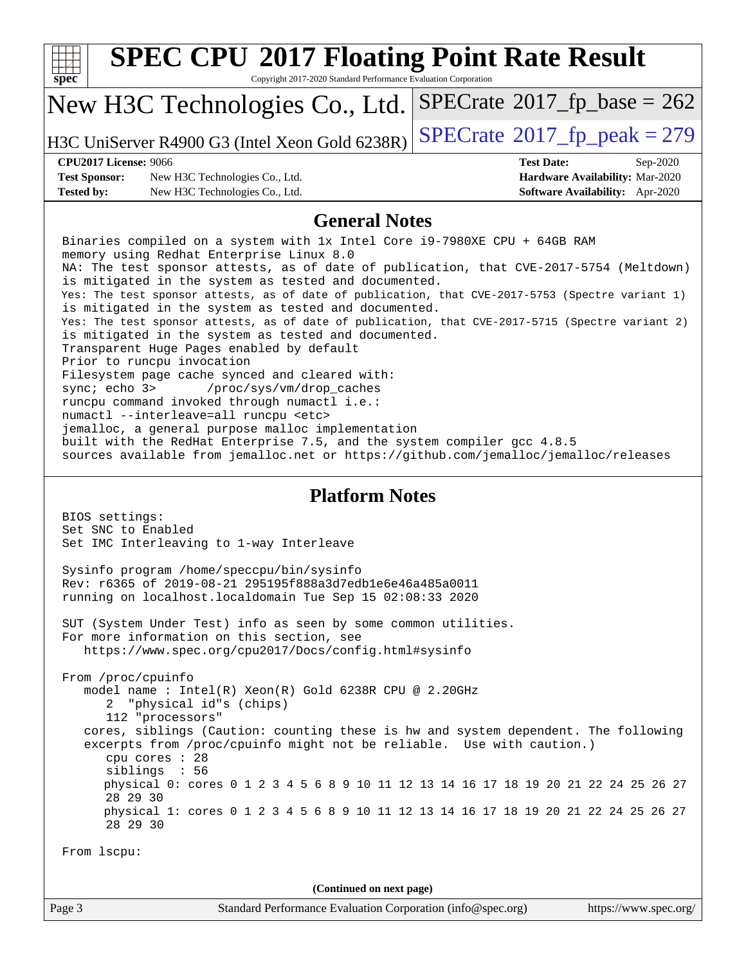| <b>SPEC CPU®2017 Floating Point Rate Result</b><br>spec<br>Copyright 2017-2020 Standard Performance Evaluation Corporation                                                                                                                                                                                                                                                                                                                                                                                                                                                                                                                                                                                                                                                                                                                                                                                                                                                                                                                                                                              |                                                                                                            |
|---------------------------------------------------------------------------------------------------------------------------------------------------------------------------------------------------------------------------------------------------------------------------------------------------------------------------------------------------------------------------------------------------------------------------------------------------------------------------------------------------------------------------------------------------------------------------------------------------------------------------------------------------------------------------------------------------------------------------------------------------------------------------------------------------------------------------------------------------------------------------------------------------------------------------------------------------------------------------------------------------------------------------------------------------------------------------------------------------------|------------------------------------------------------------------------------------------------------------|
| New H3C Technologies Co., Ltd.                                                                                                                                                                                                                                                                                                                                                                                                                                                                                                                                                                                                                                                                                                                                                                                                                                                                                                                                                                                                                                                                          | $SPECrate^{\circ}2017$ _fp_base = 262                                                                      |
| H3C UniServer R4900 G3 (Intel Xeon Gold 6238R)                                                                                                                                                                                                                                                                                                                                                                                                                                                                                                                                                                                                                                                                                                                                                                                                                                                                                                                                                                                                                                                          | $SPECTate@2017_fp\_peak = 279$                                                                             |
| <b>CPU2017 License: 9066</b><br><b>Test Sponsor:</b><br>New H3C Technologies Co., Ltd.<br><b>Tested by:</b><br>New H3C Technologies Co., Ltd.                                                                                                                                                                                                                                                                                                                                                                                                                                                                                                                                                                                                                                                                                                                                                                                                                                                                                                                                                           | <b>Test Date:</b><br>Sep-2020<br>Hardware Availability: Mar-2020<br><b>Software Availability:</b> Apr-2020 |
| <b>General Notes</b>                                                                                                                                                                                                                                                                                                                                                                                                                                                                                                                                                                                                                                                                                                                                                                                                                                                                                                                                                                                                                                                                                    |                                                                                                            |
| Binaries compiled on a system with 1x Intel Core i9-7980XE CPU + 64GB RAM<br>memory using Redhat Enterprise Linux 8.0<br>NA: The test sponsor attests, as of date of publication, that CVE-2017-5754 (Meltdown)<br>is mitigated in the system as tested and documented.<br>Yes: The test sponsor attests, as of date of publication, that CVE-2017-5753 (Spectre variant 1)<br>is mitigated in the system as tested and documented.<br>Yes: The test sponsor attests, as of date of publication, that CVE-2017-5715 (Spectre variant 2)<br>is mitigated in the system as tested and documented.<br>Transparent Huge Pages enabled by default<br>Prior to runcpu invocation<br>Filesystem page cache synced and cleared with:<br>sync $i$ echo $3$<br>/proc/sys/vm/drop_caches<br>runcpu command invoked through numactl i.e.:<br>numactl --interleave=all runcpu <etc><br/>jemalloc, a general purpose malloc implementation<br/>built with the RedHat Enterprise 7.5, and the system compiler gcc 4.8.5<br/>sources available from jemalloc.net or https://github.com/jemalloc/jemalloc/releases</etc> |                                                                                                            |
| <b>Platform Notes</b>                                                                                                                                                                                                                                                                                                                                                                                                                                                                                                                                                                                                                                                                                                                                                                                                                                                                                                                                                                                                                                                                                   |                                                                                                            |
| BIOS settings:<br>Set SNC to Enabled<br>Set IMC Interleaving to 1-way Interleave<br>Sysinfo program /home/speccpu/bin/sysinfo<br>Rev: r6365 of 2019-08-21 295195f888a3d7edb1e6e46a485a0011<br>running on localhost.localdomain Tue Sep 15 02:08:33 2020                                                                                                                                                                                                                                                                                                                                                                                                                                                                                                                                                                                                                                                                                                                                                                                                                                                 |                                                                                                            |
| SUT (System Under Test) info as seen by some common utilities.                                                                                                                                                                                                                                                                                                                                                                                                                                                                                                                                                                                                                                                                                                                                                                                                                                                                                                                                                                                                                                          |                                                                                                            |
| For more information on this section, see<br>https://www.spec.org/cpu2017/Docs/config.html#sysinfo                                                                                                                                                                                                                                                                                                                                                                                                                                                                                                                                                                                                                                                                                                                                                                                                                                                                                                                                                                                                      |                                                                                                            |
| From /proc/cpuinfo<br>model name : Intel(R) Xeon(R) Gold 6238R CPU @ 2.20GHz<br>"physical id"s (chips)<br>2<br>112 "processors"<br>cores, siblings (Caution: counting these is hw and system dependent. The following<br>excerpts from /proc/cpuinfo might not be reliable. Use with caution.)<br>cpu cores : 28<br>siblings : 56<br>physical 0: cores 0 1 2 3 4 5 6 8 9 10 11 12 13 14 16 17 18 19 20 21 22 24 25 26 27<br>28 29 30<br>physical 1: cores 0 1 2 3 4 5 6 8 9 10 11 12 13 14 16 17 18 19 20 21 22 24 25 26 27<br>28 29 30<br>From lscpu:                                                                                                                                                                                                                                                                                                                                                                                                                                                                                                                                                  |                                                                                                            |
| (Continued on next page)                                                                                                                                                                                                                                                                                                                                                                                                                                                                                                                                                                                                                                                                                                                                                                                                                                                                                                                                                                                                                                                                                |                                                                                                            |
| Standard Performance Evaluation Corporation (info@spec.org)<br>Page 3                                                                                                                                                                                                                                                                                                                                                                                                                                                                                                                                                                                                                                                                                                                                                                                                                                                                                                                                                                                                                                   | https://www.spec.org/                                                                                      |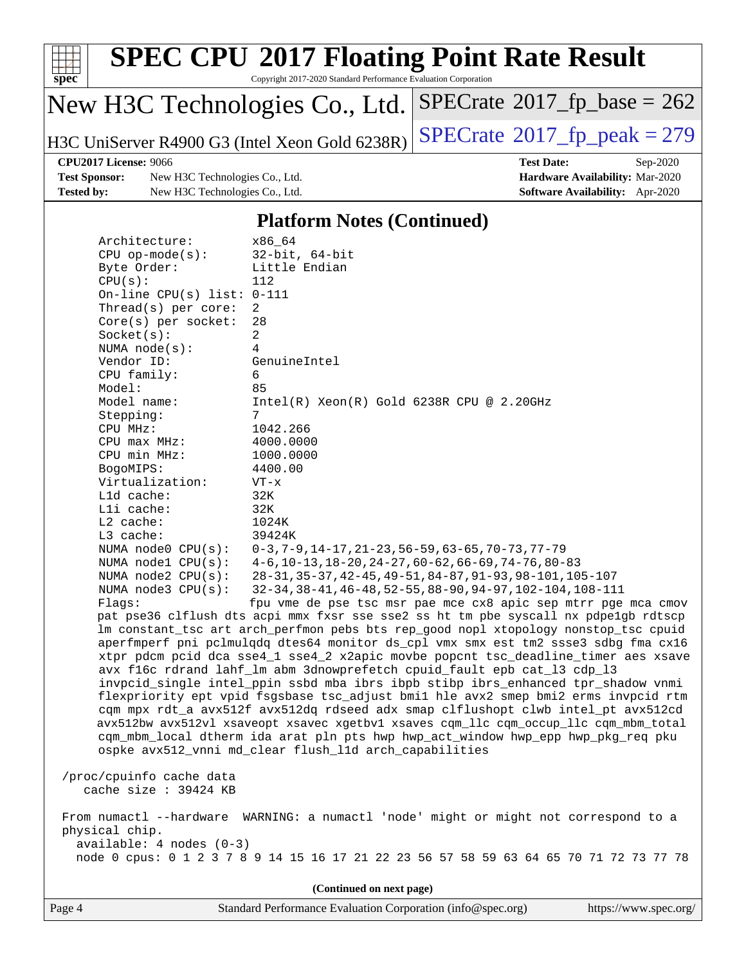

| Architecture.                | BO OAX                                                                               |
|------------------------------|--------------------------------------------------------------------------------------|
| $CPU$ op-mode( $s$ ):        | $32$ -bit, $64$ -bit                                                                 |
| Byte Order:                  | Little Endian                                                                        |
| CPU(s):                      | 112                                                                                  |
| On-line CPU(s) list: $0-111$ |                                                                                      |
| Thread( $s$ ) per core:      | 2                                                                                    |
| Core(s) per socket:          | 28                                                                                   |
| Socket(s):                   | $\overline{2}$                                                                       |
| NUMA $node(s)$ :             | $\overline{4}$                                                                       |
| Vendor ID:                   | GenuineIntel                                                                         |
| CPU family:                  | 6                                                                                    |
| Model:                       | 85                                                                                   |
| Model name:                  | $Intel(R)$ Xeon $(R)$ Gold 6238R CPU @ 2.20GHz                                       |
| Stepping:                    | 7                                                                                    |
| CPU MHz:                     | 1042.266                                                                             |
| CPU max MHz:                 | 4000.0000                                                                            |
| CPU min MHz:                 | 1000.0000                                                                            |
| BogoMIPS:                    | 4400.00                                                                              |
| Virtualization:              | $VT - x$                                                                             |
| L1d cache:                   | 32K                                                                                  |
| Lli cache:                   | 32K                                                                                  |
| L2 cache:                    | 1024K                                                                                |
| L3 cache:                    | 39424K                                                                               |
| NUMA node0 CPU(s):           | $0-3, 7-9, 14-17, 21-23, 56-59, 63-65, 70-73, 77-79$                                 |
| NUMA nodel CPU(s):           | $4-6$ , 10-13, 18-20, 24-27, 60-62, 66-69, 74-76, 80-83                              |
| NUMA $node2$ $CPU(s):$       | 28-31, 35-37, 42-45, 49-51, 84-87, 91-93, 98-101, 105-107                            |
| NUMA node3 CPU(s):           | 32-34, 38-41, 46-48, 52-55, 88-90, 94-97, 102-104, 108-111                           |
| Flagg:                       | fpu vme de pse tsc msr pae mce cx8 apic sep mtrr pge mca cmov                        |
|                              | pat pse36 clflush dts acpi mmx fxsr sse sse2 ss ht tm pbe syscall nx pdpelgb rdtscp  |
|                              | lm constant_tsc art arch_perfmon pebs bts rep_good nopl xtopology nonstop_tsc cpuid  |
|                              | aperfmperf pni pclmulqdq dtes64 monitor ds_cpl vmx smx est tm2 ssse3 sdbg fma cx16   |
|                              | xtpr pdcm pcid dca sse4_1 sse4_2 x2apic movbe popcnt tsc_deadline_timer aes xsave    |
|                              | avx f16c rdrand lahf_lm abm 3dnowprefetch cpuid_fault epb cat_13 cdp_13              |
|                              | invpcid_single intel_ppin ssbd mba ibrs ibpb stibp ibrs_enhanced tpr_shadow vnmi     |
|                              | flexpriority ept vpid fsgsbase tsc_adjust bmil hle avx2 smep bmi2 erms invpcid rtm   |
|                              | cqm mpx rdt_a avx512f avx512dq rdseed adx smap clflushopt clwb intel_pt avx512cd     |
|                              | avx512bw avx512vl xsaveopt xsavec xgetbvl xsaves cqm_llc cqm_occup_llc cqm_mbm_total |
|                              | cqm_mbm_local dtherm ida arat pln pts hwp hwp_act_window hwp_epp hwp pkq req pku     |

 /proc/cpuinfo cache data cache size : 39424 KB

 From numactl --hardware WARNING: a numactl 'node' might or might not correspond to a physical chip. available: 4 nodes (0-3) node 0 cpus: 0 1 2 3 7 8 9 14 15 16 17 21 22 23 56 57 58 59 63 64 65 70 71 72 73 77 78

ospke avx512\_vnni md\_clear flush\_l1d arch\_capabilities

**(Continued on next page)**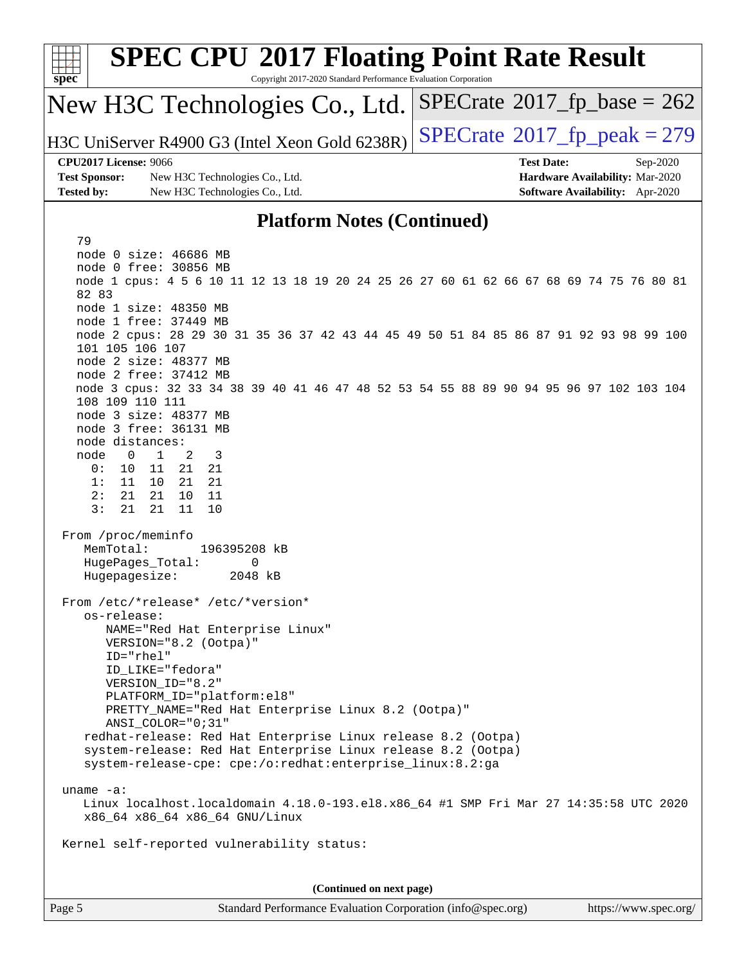| <b>SPEC CPU®2017 Floating Point Rate Result</b><br>Copyright 2017-2020 Standard Performance Evaluation Corporation<br>$spec^*$                                                                                                                                                                                                                                                                                                                                                                                                                                                                                                                                                                                                                                                                                                                                                        |                                                                                                     |
|---------------------------------------------------------------------------------------------------------------------------------------------------------------------------------------------------------------------------------------------------------------------------------------------------------------------------------------------------------------------------------------------------------------------------------------------------------------------------------------------------------------------------------------------------------------------------------------------------------------------------------------------------------------------------------------------------------------------------------------------------------------------------------------------------------------------------------------------------------------------------------------|-----------------------------------------------------------------------------------------------------|
| New H3C Technologies Co., Ltd.                                                                                                                                                                                                                                                                                                                                                                                                                                                                                                                                                                                                                                                                                                                                                                                                                                                        | $SPECTate@2017_fp\_base = 262$                                                                      |
| H3C UniServer R4900 G3 (Intel Xeon Gold 6238R)                                                                                                                                                                                                                                                                                                                                                                                                                                                                                                                                                                                                                                                                                                                                                                                                                                        | $SPECTate@2017fp peak = 279$                                                                        |
| <b>CPU2017 License: 9066</b><br><b>Test Sponsor:</b><br>New H3C Technologies Co., Ltd.<br><b>Tested by:</b><br>New H3C Technologies Co., Ltd.                                                                                                                                                                                                                                                                                                                                                                                                                                                                                                                                                                                                                                                                                                                                         | <b>Test Date:</b><br>Sep-2020<br>Hardware Availability: Mar-2020<br>Software Availability: Apr-2020 |
| <b>Platform Notes (Continued)</b>                                                                                                                                                                                                                                                                                                                                                                                                                                                                                                                                                                                                                                                                                                                                                                                                                                                     |                                                                                                     |
| 79<br>node 0 size: 46686 MB<br>node 0 free: 30856 MB<br>node 1 cpus: 4 5 6 10 11 12 13 18 19 20 24 25 26 27 60 61 62 66 67 68 69 74 75 76 80 81<br>82 83<br>node 1 size: 48350 MB<br>node 1 free: 37449 MB<br>node 2 cpus: 28 29 30 31 35 36 37 42 43 44 45 49 50 51 84 85 86 87 91 92 93 98 99 100<br>101 105 106 107<br>node 2 size: 48377 MB<br>node 2 free: 37412 MB<br>node 3 cpus: 32 33 34 38 39 40 41 46 47 48 52 53 54 55 88 89 90 94 95 96 97 102 103 104<br>108 109 110 111<br>node 3 size: 48377 MB<br>node 3 free: 36131 MB<br>node distances:<br>node<br>$\overline{0}$<br>$\mathbf{1}$<br>2<br>3<br>0:<br>11<br>21<br>21<br>10<br>10<br>1:<br>11<br>21<br>21<br>2:<br>21<br>21<br>10<br>11<br>3:<br>21<br>11<br>21<br>10<br>From /proc/meminfo<br>MemTotal:<br>196395208 kB<br>HugePages_Total:<br>0<br>Hugepagesize:<br>2048 kB<br>From /etc/*release* /etc/*version* |                                                                                                     |
| os-release:<br>NAME="Red Hat Enterprise Linux"<br>VERSION="8.2 (Ootpa)"<br>$ID="rhe1"$<br>ID LIKE="fedora"<br>VERSION_ID="8.2"<br>PLATFORM_ID="platform:el8"<br>PRETTY_NAME="Red Hat Enterprise Linux 8.2 (Ootpa)"<br>$ANSI\_COLOR = "0; 31"$<br>redhat-release: Red Hat Enterprise Linux release 8.2 (Ootpa)<br>system-release: Red Hat Enterprise Linux release 8.2 (Ootpa)<br>system-release-cpe: cpe:/o:redhat:enterprise_linux:8.2:ga<br>uname $-a$ :<br>Linux localhost.localdomain 4.18.0-193.el8.x86_64 #1 SMP Fri Mar 27 14:35:58 UTC 2020<br>x86_64 x86_64 x86_64 GNU/Linux<br>Kernel self-reported vulnerability status:<br>(Continued on next page)                                                                                                                                                                                                                       |                                                                                                     |
| Page 5<br>Standard Performance Evaluation Corporation (info@spec.org)                                                                                                                                                                                                                                                                                                                                                                                                                                                                                                                                                                                                                                                                                                                                                                                                                 | https://www.spec.org/                                                                               |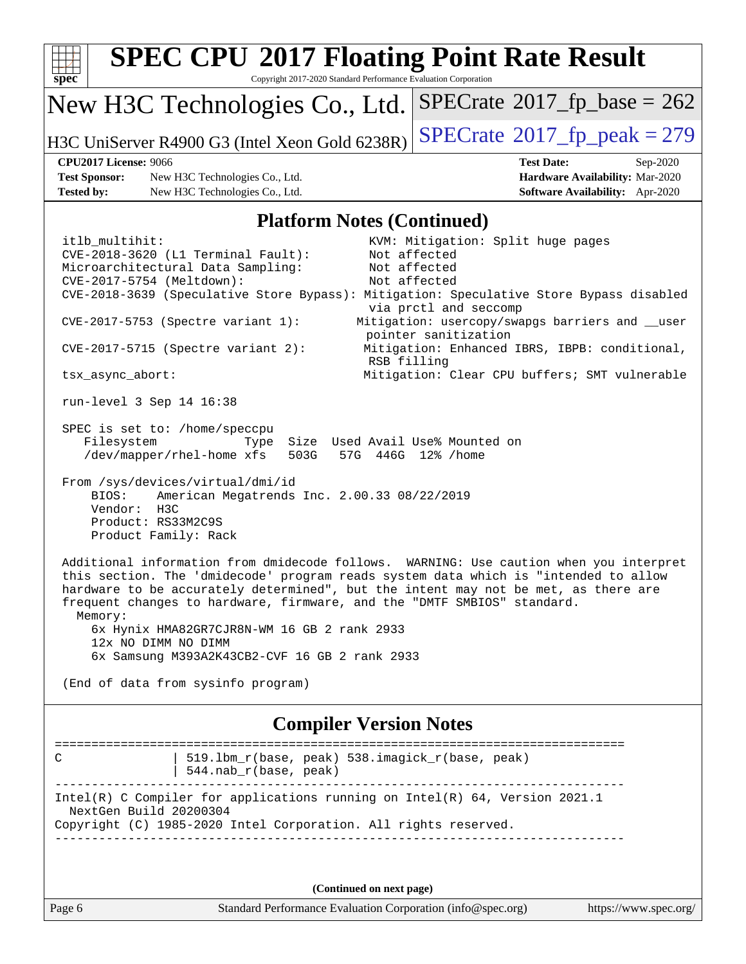| <b>SPEC CPU®2017 Floating Point Rate Result</b><br>Copyright 2017-2020 Standard Performance Evaluation Corporation<br>$spec^*$                                                                                                                                                                                                                                                                                                                                                                                                                                                                                                                                                                                                                                              |                                                                                                                                                                                                                                        |
|-----------------------------------------------------------------------------------------------------------------------------------------------------------------------------------------------------------------------------------------------------------------------------------------------------------------------------------------------------------------------------------------------------------------------------------------------------------------------------------------------------------------------------------------------------------------------------------------------------------------------------------------------------------------------------------------------------------------------------------------------------------------------------|----------------------------------------------------------------------------------------------------------------------------------------------------------------------------------------------------------------------------------------|
| New H3C Technologies Co., Ltd.                                                                                                                                                                                                                                                                                                                                                                                                                                                                                                                                                                                                                                                                                                                                              | $SPECrate^{\circ}2017_fp\_base = 262$                                                                                                                                                                                                  |
| H3C UniServer R4900 G3 (Intel Xeon Gold 6238R)                                                                                                                                                                                                                                                                                                                                                                                                                                                                                                                                                                                                                                                                                                                              | $SPECTate@2017_fp\_peak = 279$                                                                                                                                                                                                         |
| <b>CPU2017 License: 9066</b><br><b>Test Sponsor:</b><br>New H3C Technologies Co., Ltd.<br><b>Tested by:</b><br>New H3C Technologies Co., Ltd.                                                                                                                                                                                                                                                                                                                                                                                                                                                                                                                                                                                                                               | <b>Test Date:</b><br>Sep-2020<br>Hardware Availability: Mar-2020<br>Software Availability: Apr-2020                                                                                                                                    |
| <b>Platform Notes (Continued)</b>                                                                                                                                                                                                                                                                                                                                                                                                                                                                                                                                                                                                                                                                                                                                           |                                                                                                                                                                                                                                        |
| itlb_multihit:<br>CVE-2018-3620 (L1 Terminal Fault):<br>Microarchitectural Data Sampling:<br>CVE-2017-5754 (Meltdown):<br>CVE-2018-3639 (Speculative Store Bypass): Mitigation: Speculative Store Bypass disabled<br>$CVE-2017-5753$ (Spectre variant 1):<br>$CVE-2017-5715$ (Spectre variant 2):                                                                                                                                                                                                                                                                                                                                                                                                                                                                           | KVM: Mitigation: Split huge pages<br>Not affected<br>Not affected<br>Not affected<br>via prctl and seccomp<br>Mitigation: usercopy/swapgs barriers and __user<br>pointer sanitization<br>Mitigation: Enhanced IBRS, IBPB: conditional, |
| RSB filling                                                                                                                                                                                                                                                                                                                                                                                                                                                                                                                                                                                                                                                                                                                                                                 |                                                                                                                                                                                                                                        |
| tsx_async_abort:<br>run-level 3 Sep 14 16:38                                                                                                                                                                                                                                                                                                                                                                                                                                                                                                                                                                                                                                                                                                                                | Mitigation: Clear CPU buffers; SMT vulnerable                                                                                                                                                                                          |
| SPEC is set to: /home/speccpu<br>Filesystem<br>Size Used Avail Use% Mounted on<br>Type<br>/dev/mapper/rhel-home xfs<br>503G<br>From /sys/devices/virtual/dmi/id<br>American Megatrends Inc. 2.00.33 08/22/2019<br>BIOS:<br>Vendor:<br>H3C<br>Product: RS33M2C9S<br>Product Family: Rack<br>Additional information from dmidecode follows. WARNING: Use caution when you interpret<br>this section. The 'dmidecode' program reads system data which is "intended to allow<br>hardware to be accurately determined", but the intent may not be met, as there are<br>frequent changes to hardware, firmware, and the "DMTF SMBIOS" standard.<br>Memory:<br>6x Hynix HMA82GR7CJR8N-WM 16 GB 2 rank 2933<br>12x NO DIMM NO DIMM<br>6x Samsung M393A2K43CB2-CVF 16 GB 2 rank 2933 | 57G 446G 12% / home                                                                                                                                                                                                                    |
| (End of data from sysinfo program)                                                                                                                                                                                                                                                                                                                                                                                                                                                                                                                                                                                                                                                                                                                                          |                                                                                                                                                                                                                                        |
| <b>Compiler Version Notes</b>                                                                                                                                                                                                                                                                                                                                                                                                                                                                                                                                                                                                                                                                                                                                               |                                                                                                                                                                                                                                        |
| 519.1bm_r(base, peak) 538.imagick_r(base, peak)<br>С<br>544.nab_r(base, peak)                                                                                                                                                                                                                                                                                                                                                                                                                                                                                                                                                                                                                                                                                               |                                                                                                                                                                                                                                        |
| Intel(R) C Compiler for applications running on $Intel(R) 64$ , Version 2021.1<br>NextGen Build 20200304<br>Copyright (C) 1985-2020 Intel Corporation. All rights reserved.                                                                                                                                                                                                                                                                                                                                                                                                                                                                                                                                                                                                 |                                                                                                                                                                                                                                        |
| (Continued on next page)                                                                                                                                                                                                                                                                                                                                                                                                                                                                                                                                                                                                                                                                                                                                                    |                                                                                                                                                                                                                                        |
| Standard Performance Evaluation Corporation (info@spec.org)<br>Page 6                                                                                                                                                                                                                                                                                                                                                                                                                                                                                                                                                                                                                                                                                                       | https://www.spec.org/                                                                                                                                                                                                                  |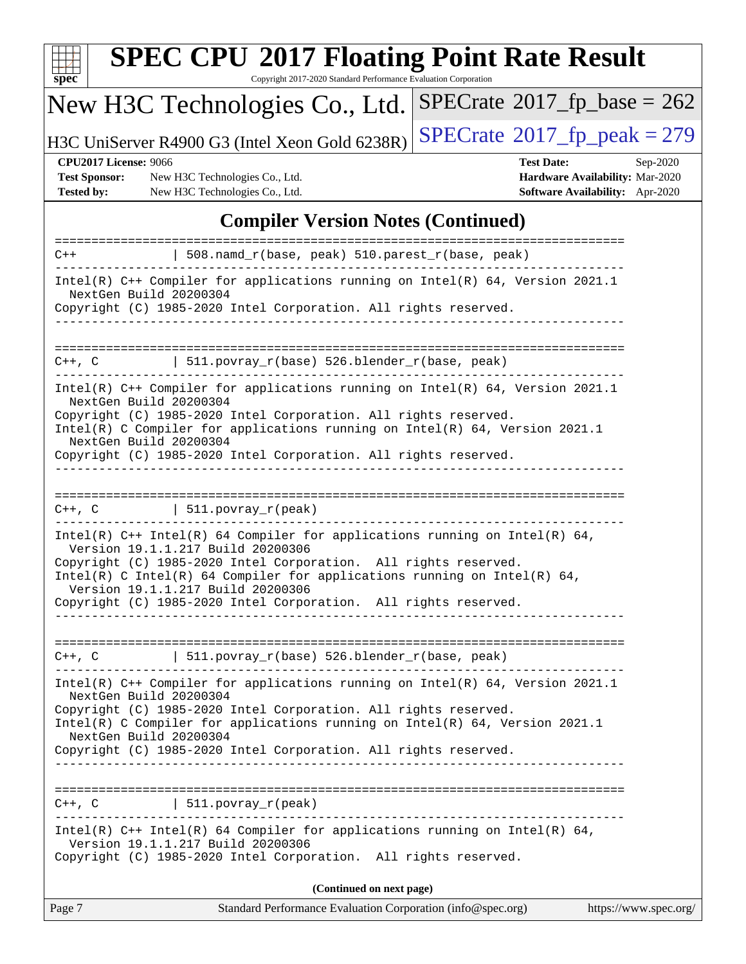| S<br>Dе<br>Ľ |  |  |  |  |  |  |
|--------------|--|--|--|--|--|--|

# **[SPEC CPU](http://www.spec.org/auto/cpu2017/Docs/result-fields.html#SPECCPU2017FloatingPointRateResult)[2017 Floating Point Rate Result](http://www.spec.org/auto/cpu2017/Docs/result-fields.html#SPECCPU2017FloatingPointRateResult)**

Copyright 2017-2020 Standard Performance Evaluation Corporation

## New H3C Technologies Co., Ltd.

H3C UniServer R4900 G3 (Intel Xeon Gold 6238R)  $\text{SPECrate}$  $\text{SPECrate}$  $\text{SPECrate}$ <sup>®</sup>[2017\\_fp\\_peak = 2](http://www.spec.org/auto/cpu2017/Docs/result-fields.html#SPECrate2017fppeak)79

 $SPECTate$ <sup>®</sup>[2017\\_fp\\_base =](http://www.spec.org/auto/cpu2017/Docs/result-fields.html#SPECrate2017fpbase) 262

**[Test Sponsor:](http://www.spec.org/auto/cpu2017/Docs/result-fields.html#TestSponsor)** New H3C Technologies Co., Ltd. **[Hardware Availability:](http://www.spec.org/auto/cpu2017/Docs/result-fields.html#HardwareAvailability)** Mar-2020 **[Tested by:](http://www.spec.org/auto/cpu2017/Docs/result-fields.html#Testedby)** New H3C Technologies Co., Ltd. **[Software Availability:](http://www.spec.org/auto/cpu2017/Docs/result-fields.html#SoftwareAvailability)** Apr-2020

**[CPU2017 License:](http://www.spec.org/auto/cpu2017/Docs/result-fields.html#CPU2017License)** 9066 **[Test Date:](http://www.spec.org/auto/cpu2017/Docs/result-fields.html#TestDate)** Sep-2020

#### **[Compiler Version Notes \(Continued\)](http://www.spec.org/auto/cpu2017/Docs/result-fields.html#CompilerVersionNotes)**

| $C++$                                            | 508.namd_r(base, peak) 510.parest_r(base, peak)                                                                                                                                                                                                                                                                                                                                             |
|--------------------------------------------------|---------------------------------------------------------------------------------------------------------------------------------------------------------------------------------------------------------------------------------------------------------------------------------------------------------------------------------------------------------------------------------------------|
| NextGen Build 20200304                           | Intel(R) C++ Compiler for applications running on Intel(R) 64, Version 2021.1<br>Copyright (C) 1985-2020 Intel Corporation. All rights reserved.                                                                                                                                                                                                                                            |
|                                                  |                                                                                                                                                                                                                                                                                                                                                                                             |
| $C++$ , $C$                                      | 511.povray_r(base) 526.blender_r(base, peak)                                                                                                                                                                                                                                                                                                                                                |
| NextGen Build 20200304<br>NextGen Build 20200304 | Intel(R) C++ Compiler for applications running on Intel(R) 64, Version 2021.1<br>Copyright (C) 1985-2020 Intel Corporation. All rights reserved.<br>Intel(R) C Compiler for applications running on Intel(R) 64, Version 2021.1<br>Copyright (C) 1985-2020 Intel Corporation. All rights reserved.                                                                                          |
|                                                  | $C++$ , C $\qquad \qquad$ 511.povray_r(peak)                                                                                                                                                                                                                                                                                                                                                |
|                                                  | Intel(R) $C++$ Intel(R) 64 Compiler for applications running on Intel(R) 64,<br>Version 19.1.1.217 Build 20200306<br>Copyright (C) 1985-2020 Intel Corporation. All rights reserved.<br>Intel(R) C Intel(R) 64 Compiler for applications running on Intel(R) 64,<br>Version 19.1.1.217 Build 20200306<br>Copyright (C) 1985-2020 Intel Corporation. All rights reserved.<br>--------------- |
|                                                  | $C++$ , C $\qquad \qquad$ 511.povray_r(base) 526.blender_r(base, peak)                                                                                                                                                                                                                                                                                                                      |
| NextGen Build 20200304                           | Intel(R) C++ Compiler for applications running on $Intel(R) 64$ , Version 2021.1<br>Copyright (C) 1985-2020 Intel Corporation. All rights reserved.<br>Intel(R) C Compiler for applications running on Intel(R) $64$ , Version 2021.1                                                                                                                                                       |
| NextGen Build 20200304                           | Copyright (C) 1985-2020 Intel Corporation. All rights reserved.                                                                                                                                                                                                                                                                                                                             |
| C++, C                                           | 511. povray r(peak)                                                                                                                                                                                                                                                                                                                                                                         |
|                                                  | Intel(R) $C++$ Intel(R) 64 Compiler for applications running on Intel(R) 64,<br>Version 19.1.1.217 Build 20200306<br>Copyright (C) 1985-2020 Intel Corporation. All rights reserved.                                                                                                                                                                                                        |
|                                                  | (Continued on next page)                                                                                                                                                                                                                                                                                                                                                                    |
| Page 7                                           | Standard Performance Evaluation Corporation (info@spec.org)<br>https://www.spec.org/                                                                                                                                                                                                                                                                                                        |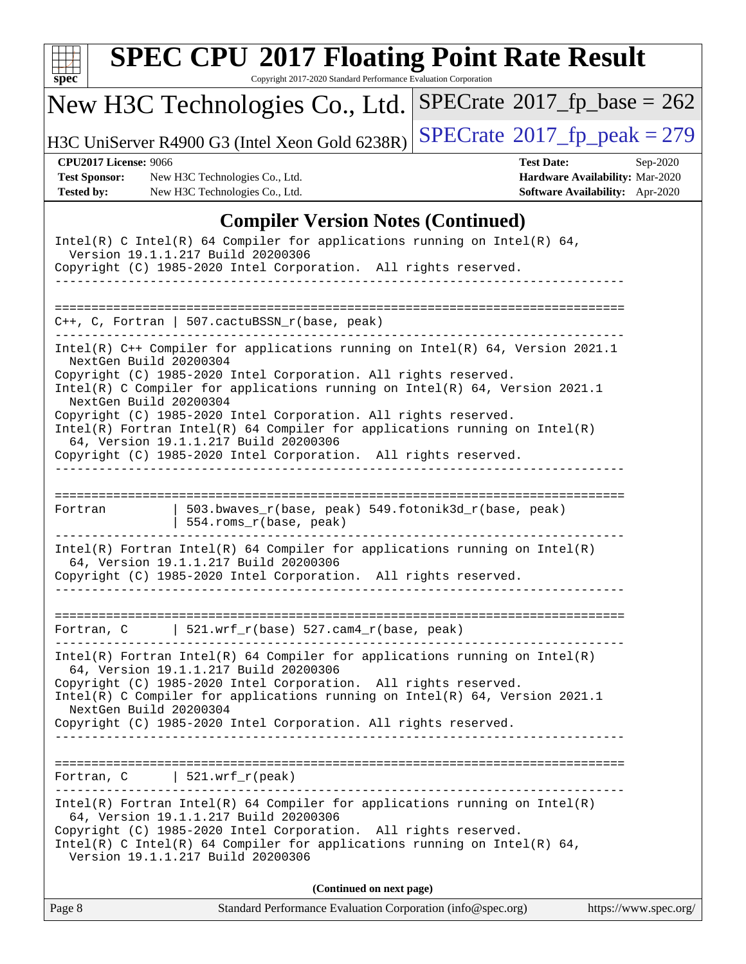| $spec^*$                                                                  | <b>SPEC CPU®2017 Floating Point Rate Result</b><br>Copyright 2017-2020 Standard Performance Evaluation Corporation                                                                                                                                                                                                                                                                                                                                                                                                                                 |                                                                                                     |
|---------------------------------------------------------------------------|----------------------------------------------------------------------------------------------------------------------------------------------------------------------------------------------------------------------------------------------------------------------------------------------------------------------------------------------------------------------------------------------------------------------------------------------------------------------------------------------------------------------------------------------------|-----------------------------------------------------------------------------------------------------|
|                                                                           | New H3C Technologies Co., Ltd.                                                                                                                                                                                                                                                                                                                                                                                                                                                                                                                     | $SPECrate^{\circ}2017$ fp base = 262                                                                |
|                                                                           | H3C UniServer R4900 G3 (Intel Xeon Gold 6238R)                                                                                                                                                                                                                                                                                                                                                                                                                                                                                                     | $SPECTate@2017_fp\_peak = 279$                                                                      |
| <b>CPU2017 License: 9066</b><br><b>Test Sponsor:</b><br><b>Tested by:</b> | New H3C Technologies Co., Ltd.<br>New H3C Technologies Co., Ltd.                                                                                                                                                                                                                                                                                                                                                                                                                                                                                   | <b>Test Date:</b><br>Sep-2020<br>Hardware Availability: Mar-2020<br>Software Availability: Apr-2020 |
|                                                                           | <b>Compiler Version Notes (Continued)</b>                                                                                                                                                                                                                                                                                                                                                                                                                                                                                                          |                                                                                                     |
|                                                                           | Intel(R) C Intel(R) 64 Compiler for applications running on Intel(R) 64,<br>Version 19.1.1.217 Build 20200306<br>Copyright (C) 1985-2020 Intel Corporation. All rights reserved.<br>---------------------------                                                                                                                                                                                                                                                                                                                                    |                                                                                                     |
|                                                                           | C++, C, Fortran   507.cactuBSSN_r(base, peak)                                                                                                                                                                                                                                                                                                                                                                                                                                                                                                      |                                                                                                     |
|                                                                           | Intel(R) C++ Compiler for applications running on Intel(R) 64, Version 2021.1<br>NextGen Build 20200304<br>Copyright (C) 1985-2020 Intel Corporation. All rights reserved.<br>Intel(R) C Compiler for applications running on Intel(R) 64, Version 2021.1<br>NextGen Build 20200304<br>Copyright (C) 1985-2020 Intel Corporation. All rights reserved.<br>$Intel(R)$ Fortran Intel(R) 64 Compiler for applications running on Intel(R)<br>64, Version 19.1.1.217 Build 20200306<br>Copyright (C) 1985-2020 Intel Corporation. All rights reserved. |                                                                                                     |
| Fortran                                                                   | 503.bwaves_r(base, peak) 549.fotonik3d_r(base, peak)<br>554.roms_r(base, peak)                                                                                                                                                                                                                                                                                                                                                                                                                                                                     |                                                                                                     |
|                                                                           | $Intel(R)$ Fortran Intel(R) 64 Compiler for applications running on Intel(R)<br>64, Version 19.1.1.217 Build 20200306<br>Copyright (C) 1985-2020 Intel Corporation. All rights reserved.                                                                                                                                                                                                                                                                                                                                                           |                                                                                                     |
|                                                                           | Fortran, $C$   521.wrf_r(base) 527.cam4_r(base, peak)                                                                                                                                                                                                                                                                                                                                                                                                                                                                                              |                                                                                                     |
|                                                                           | $Intel(R)$ Fortran Intel(R) 64 Compiler for applications running on Intel(R)<br>64, Version 19.1.1.217 Build 20200306<br>Copyright (C) 1985-2020 Intel Corporation. All rights reserved.<br>Intel(R) C Compiler for applications running on $Intel(R) 64$ , Version 2021.1<br>NextGen Build 20200304<br>Copyright (C) 1985-2020 Intel Corporation. All rights reserved.                                                                                                                                                                            |                                                                                                     |
|                                                                           | Fortran, $C$   521.wrf_r(peak)                                                                                                                                                                                                                                                                                                                                                                                                                                                                                                                     |                                                                                                     |
|                                                                           | $Intel(R)$ Fortran Intel(R) 64 Compiler for applications running on Intel(R)<br>64, Version 19.1.1.217 Build 20200306<br>Copyright (C) 1985-2020 Intel Corporation. All rights reserved.<br>Intel(R) C Intel(R) 64 Compiler for applications running on Intel(R) 64,<br>Version 19.1.1.217 Build 20200306                                                                                                                                                                                                                                          |                                                                                                     |
|                                                                           | (Continued on next page)                                                                                                                                                                                                                                                                                                                                                                                                                                                                                                                           |                                                                                                     |

Page 8 Standard Performance Evaluation Corporation [\(info@spec.org\)](mailto:info@spec.org) <https://www.spec.org/>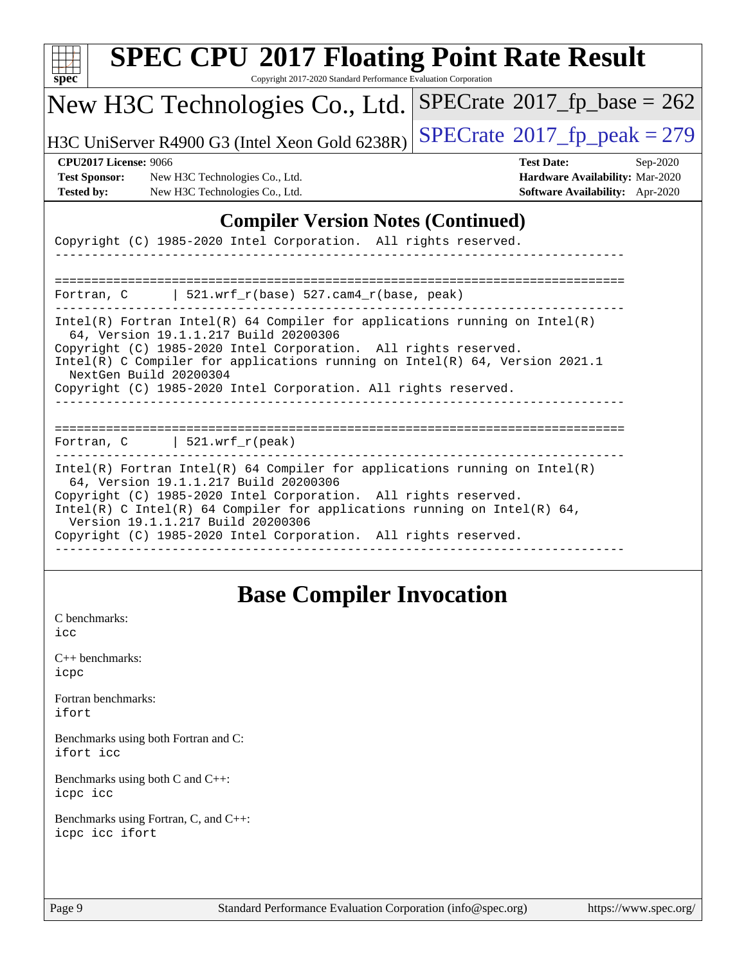| $spec^*$                                                                                                                                      | <b>SPEC CPU®2017 Floating Point Rate Result</b><br>Copyright 2017-2020 Standard Performance Evaluation Corporation                                          |                                                                                                            |
|-----------------------------------------------------------------------------------------------------------------------------------------------|-------------------------------------------------------------------------------------------------------------------------------------------------------------|------------------------------------------------------------------------------------------------------------|
| New H3C Technologies Co., Ltd.                                                                                                                |                                                                                                                                                             | $SPECrate^{\circ}2017$ fp base = 262                                                                       |
| H3C UniServer R4900 G3 (Intel Xeon Gold 6238R)                                                                                                |                                                                                                                                                             | $SPECTate@2017_fp\_peak = 279$                                                                             |
| <b>CPU2017 License: 9066</b><br><b>Test Sponsor:</b><br>New H3C Technologies Co., Ltd.<br><b>Tested by:</b><br>New H3C Technologies Co., Ltd. |                                                                                                                                                             | <b>Test Date:</b><br>Sep-2020<br>Hardware Availability: Mar-2020<br><b>Software Availability:</b> Apr-2020 |
|                                                                                                                                               | <b>Compiler Version Notes (Continued)</b>                                                                                                                   |                                                                                                            |
| Copyright (C) 1985-2020 Intel Corporation. All rights reserved.                                                                               |                                                                                                                                                             |                                                                                                            |
|                                                                                                                                               |                                                                                                                                                             |                                                                                                            |
| Fortran, C                                                                                                                                    | $521.wrf_r(base) 527.cam4_r(base, peak)$                                                                                                                    |                                                                                                            |
| 64, Version 19.1.1.217 Build 20200306<br>Copyright (C) 1985-2020 Intel Corporation. All rights reserved.<br>NextGen Build 20200304            | $Intel(R)$ Fortran Intel(R) 64 Compiler for applications running on Intel(R)<br>Intel(R) C Compiler for applications running on Intel(R) 64, Version 2021.1 |                                                                                                            |
| Copyright (C) 1985-2020 Intel Corporation. All rights reserved.                                                                               |                                                                                                                                                             |                                                                                                            |
|                                                                                                                                               |                                                                                                                                                             |                                                                                                            |
| $\vert$ 521.wrf_r(peak)<br>Fortran, C                                                                                                         |                                                                                                                                                             |                                                                                                            |
| 64, Version 19.1.1.217 Build 20200306                                                                                                         | $Intel(R)$ Fortran Intel(R) 64 Compiler for applications running on Intel(R)                                                                                |                                                                                                            |
| Copyright (C) 1985-2020 Intel Corporation. All rights reserved.<br>Version 19.1.1.217 Build 20200306                                          | Intel(R) C Intel(R) 64 Compiler for applications running on Intel(R) 64,                                                                                    |                                                                                                            |
| Copyright (C) 1985-2020 Intel Corporation. All rights reserved.                                                                               |                                                                                                                                                             |                                                                                                            |
|                                                                                                                                               |                                                                                                                                                             |                                                                                                            |
|                                                                                                                                               | <b>Base Compiler Invocation</b>                                                                                                                             |                                                                                                            |

[C benchmarks](http://www.spec.org/auto/cpu2017/Docs/result-fields.html#Cbenchmarks): [icc](http://www.spec.org/cpu2017/results/res2020q4/cpu2017-20201014-24212.flags.html#user_CCbase_intel_icc_66fc1ee009f7361af1fbd72ca7dcefbb700085f36577c54f309893dd4ec40d12360134090235512931783d35fd58c0460139e722d5067c5574d8eaf2b3e37e92)

[C++ benchmarks:](http://www.spec.org/auto/cpu2017/Docs/result-fields.html#CXXbenchmarks) [icpc](http://www.spec.org/cpu2017/results/res2020q4/cpu2017-20201014-24212.flags.html#user_CXXbase_intel_icpc_c510b6838c7f56d33e37e94d029a35b4a7bccf4766a728ee175e80a419847e808290a9b78be685c44ab727ea267ec2f070ec5dc83b407c0218cded6866a35d07)

[Fortran benchmarks](http://www.spec.org/auto/cpu2017/Docs/result-fields.html#Fortranbenchmarks): [ifort](http://www.spec.org/cpu2017/results/res2020q4/cpu2017-20201014-24212.flags.html#user_FCbase_intel_ifort_8111460550e3ca792625aed983ce982f94888b8b503583aa7ba2b8303487b4d8a21a13e7191a45c5fd58ff318f48f9492884d4413fa793fd88dd292cad7027ca)

[Benchmarks using both Fortran and C](http://www.spec.org/auto/cpu2017/Docs/result-fields.html#BenchmarksusingbothFortranandC): [ifort](http://www.spec.org/cpu2017/results/res2020q4/cpu2017-20201014-24212.flags.html#user_CC_FCbase_intel_ifort_8111460550e3ca792625aed983ce982f94888b8b503583aa7ba2b8303487b4d8a21a13e7191a45c5fd58ff318f48f9492884d4413fa793fd88dd292cad7027ca) [icc](http://www.spec.org/cpu2017/results/res2020q4/cpu2017-20201014-24212.flags.html#user_CC_FCbase_intel_icc_66fc1ee009f7361af1fbd72ca7dcefbb700085f36577c54f309893dd4ec40d12360134090235512931783d35fd58c0460139e722d5067c5574d8eaf2b3e37e92)

[Benchmarks using both C and C++](http://www.spec.org/auto/cpu2017/Docs/result-fields.html#BenchmarksusingbothCandCXX): [icpc](http://www.spec.org/cpu2017/results/res2020q4/cpu2017-20201014-24212.flags.html#user_CC_CXXbase_intel_icpc_c510b6838c7f56d33e37e94d029a35b4a7bccf4766a728ee175e80a419847e808290a9b78be685c44ab727ea267ec2f070ec5dc83b407c0218cded6866a35d07) [icc](http://www.spec.org/cpu2017/results/res2020q4/cpu2017-20201014-24212.flags.html#user_CC_CXXbase_intel_icc_66fc1ee009f7361af1fbd72ca7dcefbb700085f36577c54f309893dd4ec40d12360134090235512931783d35fd58c0460139e722d5067c5574d8eaf2b3e37e92)

[Benchmarks using Fortran, C, and C++:](http://www.spec.org/auto/cpu2017/Docs/result-fields.html#BenchmarksusingFortranCandCXX) [icpc](http://www.spec.org/cpu2017/results/res2020q4/cpu2017-20201014-24212.flags.html#user_CC_CXX_FCbase_intel_icpc_c510b6838c7f56d33e37e94d029a35b4a7bccf4766a728ee175e80a419847e808290a9b78be685c44ab727ea267ec2f070ec5dc83b407c0218cded6866a35d07) [icc](http://www.spec.org/cpu2017/results/res2020q4/cpu2017-20201014-24212.flags.html#user_CC_CXX_FCbase_intel_icc_66fc1ee009f7361af1fbd72ca7dcefbb700085f36577c54f309893dd4ec40d12360134090235512931783d35fd58c0460139e722d5067c5574d8eaf2b3e37e92) [ifort](http://www.spec.org/cpu2017/results/res2020q4/cpu2017-20201014-24212.flags.html#user_CC_CXX_FCbase_intel_ifort_8111460550e3ca792625aed983ce982f94888b8b503583aa7ba2b8303487b4d8a21a13e7191a45c5fd58ff318f48f9492884d4413fa793fd88dd292cad7027ca)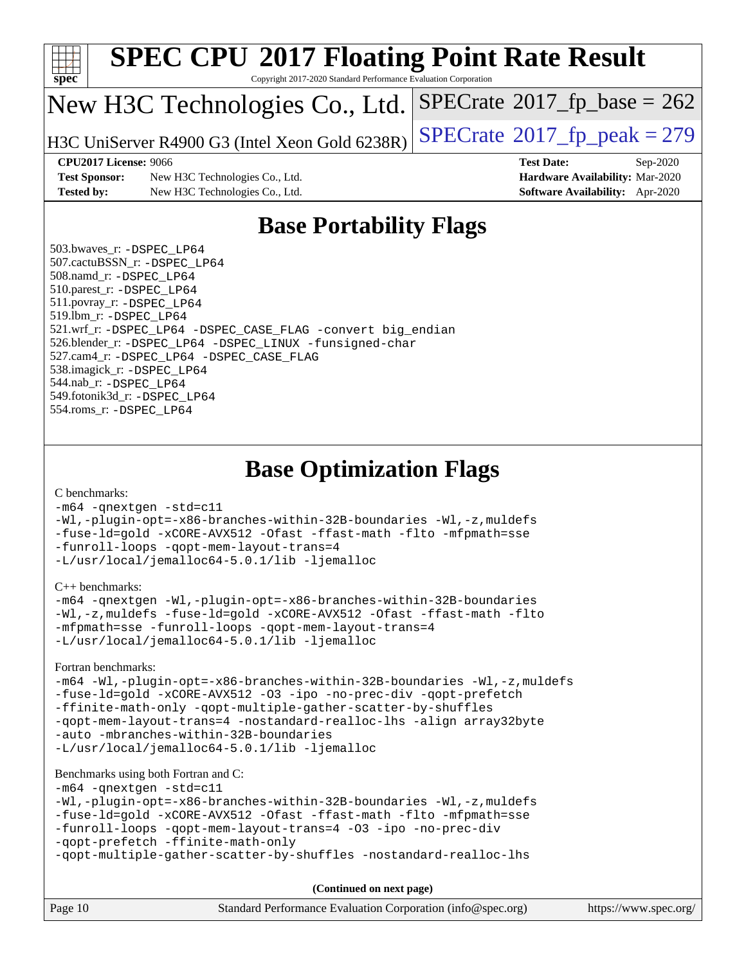

# **[SPEC CPU](http://www.spec.org/auto/cpu2017/Docs/result-fields.html#SPECCPU2017FloatingPointRateResult)[2017 Floating Point Rate Result](http://www.spec.org/auto/cpu2017/Docs/result-fields.html#SPECCPU2017FloatingPointRateResult)**

Copyright 2017-2020 Standard Performance Evaluation Corporation

### New H3C Technologies Co., Ltd.

H3C UniServer R4900 G3 (Intel Xeon Gold  $6238R$ ) [SPECrate](http://www.spec.org/auto/cpu2017/Docs/result-fields.html#SPECrate2017fppeak)®[2017\\_fp\\_peak = 2](http://www.spec.org/auto/cpu2017/Docs/result-fields.html#SPECrate2017fppeak)79

 $SPECTate@2017_fp\_base = 262$ 

[Test Sponsor:](http://www.spec.org/auto/cpu2017/Docs/result-fields.html#TestSponsor) New H3C Technologies Co., Ltd. **[Hardware Availability:](http://www.spec.org/auto/cpu2017/Docs/result-fields.html#HardwareAvailability)** Mar-2020 **[Tested by:](http://www.spec.org/auto/cpu2017/Docs/result-fields.html#Testedby)** New H3C Technologies Co., Ltd. **[Software Availability:](http://www.spec.org/auto/cpu2017/Docs/result-fields.html#SoftwareAvailability)** Apr-2020

**[CPU2017 License:](http://www.spec.org/auto/cpu2017/Docs/result-fields.html#CPU2017License)** 9066 **[Test Date:](http://www.spec.org/auto/cpu2017/Docs/result-fields.html#TestDate)** Sep-2020

### **[Base Portability Flags](http://www.spec.org/auto/cpu2017/Docs/result-fields.html#BasePortabilityFlags)**

 503.bwaves\_r: [-DSPEC\\_LP64](http://www.spec.org/cpu2017/results/res2020q4/cpu2017-20201014-24212.flags.html#suite_basePORTABILITY503_bwaves_r_DSPEC_LP64) 507.cactuBSSN\_r: [-DSPEC\\_LP64](http://www.spec.org/cpu2017/results/res2020q4/cpu2017-20201014-24212.flags.html#suite_basePORTABILITY507_cactuBSSN_r_DSPEC_LP64) 508.namd\_r: [-DSPEC\\_LP64](http://www.spec.org/cpu2017/results/res2020q4/cpu2017-20201014-24212.flags.html#suite_basePORTABILITY508_namd_r_DSPEC_LP64) 510.parest\_r: [-DSPEC\\_LP64](http://www.spec.org/cpu2017/results/res2020q4/cpu2017-20201014-24212.flags.html#suite_basePORTABILITY510_parest_r_DSPEC_LP64) 511.povray\_r: [-DSPEC\\_LP64](http://www.spec.org/cpu2017/results/res2020q4/cpu2017-20201014-24212.flags.html#suite_basePORTABILITY511_povray_r_DSPEC_LP64) 519.lbm\_r: [-DSPEC\\_LP64](http://www.spec.org/cpu2017/results/res2020q4/cpu2017-20201014-24212.flags.html#suite_basePORTABILITY519_lbm_r_DSPEC_LP64) 521.wrf\_r: [-DSPEC\\_LP64](http://www.spec.org/cpu2017/results/res2020q4/cpu2017-20201014-24212.flags.html#suite_basePORTABILITY521_wrf_r_DSPEC_LP64) [-DSPEC\\_CASE\\_FLAG](http://www.spec.org/cpu2017/results/res2020q4/cpu2017-20201014-24212.flags.html#b521.wrf_r_baseCPORTABILITY_DSPEC_CASE_FLAG) [-convert big\\_endian](http://www.spec.org/cpu2017/results/res2020q4/cpu2017-20201014-24212.flags.html#user_baseFPORTABILITY521_wrf_r_convert_big_endian_c3194028bc08c63ac5d04de18c48ce6d347e4e562e8892b8bdbdc0214820426deb8554edfa529a3fb25a586e65a3d812c835984020483e7e73212c4d31a38223) 526.blender\_r: [-DSPEC\\_LP64](http://www.spec.org/cpu2017/results/res2020q4/cpu2017-20201014-24212.flags.html#suite_basePORTABILITY526_blender_r_DSPEC_LP64) [-DSPEC\\_LINUX](http://www.spec.org/cpu2017/results/res2020q4/cpu2017-20201014-24212.flags.html#b526.blender_r_baseCPORTABILITY_DSPEC_LINUX) [-funsigned-char](http://www.spec.org/cpu2017/results/res2020q4/cpu2017-20201014-24212.flags.html#user_baseCPORTABILITY526_blender_r_force_uchar_40c60f00ab013830e2dd6774aeded3ff59883ba5a1fc5fc14077f794d777847726e2a5858cbc7672e36e1b067e7e5c1d9a74f7176df07886a243d7cc18edfe67) 527.cam4\_r: [-DSPEC\\_LP64](http://www.spec.org/cpu2017/results/res2020q4/cpu2017-20201014-24212.flags.html#suite_basePORTABILITY527_cam4_r_DSPEC_LP64) [-DSPEC\\_CASE\\_FLAG](http://www.spec.org/cpu2017/results/res2020q4/cpu2017-20201014-24212.flags.html#b527.cam4_r_baseCPORTABILITY_DSPEC_CASE_FLAG) 538.imagick\_r: [-DSPEC\\_LP64](http://www.spec.org/cpu2017/results/res2020q4/cpu2017-20201014-24212.flags.html#suite_basePORTABILITY538_imagick_r_DSPEC_LP64) 544.nab\_r: [-DSPEC\\_LP64](http://www.spec.org/cpu2017/results/res2020q4/cpu2017-20201014-24212.flags.html#suite_basePORTABILITY544_nab_r_DSPEC_LP64) 549.fotonik3d\_r: [-DSPEC\\_LP64](http://www.spec.org/cpu2017/results/res2020q4/cpu2017-20201014-24212.flags.html#suite_basePORTABILITY549_fotonik3d_r_DSPEC_LP64) 554.roms\_r: [-DSPEC\\_LP64](http://www.spec.org/cpu2017/results/res2020q4/cpu2017-20201014-24212.flags.html#suite_basePORTABILITY554_roms_r_DSPEC_LP64)

**[Base Optimization Flags](http://www.spec.org/auto/cpu2017/Docs/result-fields.html#BaseOptimizationFlags)**

#### [C benchmarks](http://www.spec.org/auto/cpu2017/Docs/result-fields.html#Cbenchmarks):

[-m64](http://www.spec.org/cpu2017/results/res2020q4/cpu2017-20201014-24212.flags.html#user_CCbase_m64-icc) [-qnextgen](http://www.spec.org/cpu2017/results/res2020q4/cpu2017-20201014-24212.flags.html#user_CCbase_f-qnextgen) [-std=c11](http://www.spec.org/cpu2017/results/res2020q4/cpu2017-20201014-24212.flags.html#user_CCbase_std-icc-std_0e1c27790398a4642dfca32ffe6c27b5796f9c2d2676156f2e42c9c44eaad0c049b1cdb667a270c34d979996257aeb8fc440bfb01818dbc9357bd9d174cb8524) [-Wl,-plugin-opt=-x86-branches-within-32B-boundaries](http://www.spec.org/cpu2017/results/res2020q4/cpu2017-20201014-24212.flags.html#user_CCbase_f-x86-branches-within-32B-boundaries_0098b4e4317ae60947b7b728078a624952a08ac37a3c797dfb4ffeb399e0c61a9dd0f2f44ce917e9361fb9076ccb15e7824594512dd315205382d84209e912f3) [-Wl,-z,muldefs](http://www.spec.org/cpu2017/results/res2020q4/cpu2017-20201014-24212.flags.html#user_CCbase_link_force_multiple1_b4cbdb97b34bdee9ceefcfe54f4c8ea74255f0b02a4b23e853cdb0e18eb4525ac79b5a88067c842dd0ee6996c24547a27a4b99331201badda8798ef8a743f577) [-fuse-ld=gold](http://www.spec.org/cpu2017/results/res2020q4/cpu2017-20201014-24212.flags.html#user_CCbase_f-fuse-ld_920b3586e2b8c6e0748b9c84fa9b744736ba725a32cab14ad8f3d4ad28eecb2f59d1144823d2e17006539a88734fe1fc08fc3035f7676166309105a78aaabc32) [-xCORE-AVX512](http://www.spec.org/cpu2017/results/res2020q4/cpu2017-20201014-24212.flags.html#user_CCbase_f-xCORE-AVX512) [-Ofast](http://www.spec.org/cpu2017/results/res2020q4/cpu2017-20201014-24212.flags.html#user_CCbase_f-Ofast) [-ffast-math](http://www.spec.org/cpu2017/results/res2020q4/cpu2017-20201014-24212.flags.html#user_CCbase_f-ffast-math) [-flto](http://www.spec.org/cpu2017/results/res2020q4/cpu2017-20201014-24212.flags.html#user_CCbase_f-flto) [-mfpmath=sse](http://www.spec.org/cpu2017/results/res2020q4/cpu2017-20201014-24212.flags.html#user_CCbase_f-mfpmath_70eb8fac26bde974f8ab713bc9086c5621c0b8d2f6c86f38af0bd7062540daf19db5f3a066d8c6684be05d84c9b6322eb3b5be6619d967835195b93d6c02afa1) [-funroll-loops](http://www.spec.org/cpu2017/results/res2020q4/cpu2017-20201014-24212.flags.html#user_CCbase_f-funroll-loops) [-qopt-mem-layout-trans=4](http://www.spec.org/cpu2017/results/res2020q4/cpu2017-20201014-24212.flags.html#user_CCbase_f-qopt-mem-layout-trans_fa39e755916c150a61361b7846f310bcdf6f04e385ef281cadf3647acec3f0ae266d1a1d22d972a7087a248fd4e6ca390a3634700869573d231a252c784941a8) [-L/usr/local/jemalloc64-5.0.1/lib](http://www.spec.org/cpu2017/results/res2020q4/cpu2017-20201014-24212.flags.html#user_CCbase_jemalloc_link_path64_1_cc289568b1a6c0fd3b62c91b824c27fcb5af5e8098e6ad028160d21144ef1b8aef3170d2acf0bee98a8da324cfe4f67d0a3d0c4cc4673d993d694dc2a0df248b) [-ljemalloc](http://www.spec.org/cpu2017/results/res2020q4/cpu2017-20201014-24212.flags.html#user_CCbase_jemalloc_link_lib_d1249b907c500fa1c0672f44f562e3d0f79738ae9e3c4a9c376d49f265a04b9c99b167ecedbf6711b3085be911c67ff61f150a17b3472be731631ba4d0471706)

[C++ benchmarks:](http://www.spec.org/auto/cpu2017/Docs/result-fields.html#CXXbenchmarks)

[-m64](http://www.spec.org/cpu2017/results/res2020q4/cpu2017-20201014-24212.flags.html#user_CXXbase_m64-icc) [-qnextgen](http://www.spec.org/cpu2017/results/res2020q4/cpu2017-20201014-24212.flags.html#user_CXXbase_f-qnextgen) [-Wl,-plugin-opt=-x86-branches-within-32B-boundaries](http://www.spec.org/cpu2017/results/res2020q4/cpu2017-20201014-24212.flags.html#user_CXXbase_f-x86-branches-within-32B-boundaries_0098b4e4317ae60947b7b728078a624952a08ac37a3c797dfb4ffeb399e0c61a9dd0f2f44ce917e9361fb9076ccb15e7824594512dd315205382d84209e912f3) [-Wl,-z,muldefs](http://www.spec.org/cpu2017/results/res2020q4/cpu2017-20201014-24212.flags.html#user_CXXbase_link_force_multiple1_b4cbdb97b34bdee9ceefcfe54f4c8ea74255f0b02a4b23e853cdb0e18eb4525ac79b5a88067c842dd0ee6996c24547a27a4b99331201badda8798ef8a743f577) [-fuse-ld=gold](http://www.spec.org/cpu2017/results/res2020q4/cpu2017-20201014-24212.flags.html#user_CXXbase_f-fuse-ld_920b3586e2b8c6e0748b9c84fa9b744736ba725a32cab14ad8f3d4ad28eecb2f59d1144823d2e17006539a88734fe1fc08fc3035f7676166309105a78aaabc32) [-xCORE-AVX512](http://www.spec.org/cpu2017/results/res2020q4/cpu2017-20201014-24212.flags.html#user_CXXbase_f-xCORE-AVX512) [-Ofast](http://www.spec.org/cpu2017/results/res2020q4/cpu2017-20201014-24212.flags.html#user_CXXbase_f-Ofast) [-ffast-math](http://www.spec.org/cpu2017/results/res2020q4/cpu2017-20201014-24212.flags.html#user_CXXbase_f-ffast-math) [-flto](http://www.spec.org/cpu2017/results/res2020q4/cpu2017-20201014-24212.flags.html#user_CXXbase_f-flto) [-mfpmath=sse](http://www.spec.org/cpu2017/results/res2020q4/cpu2017-20201014-24212.flags.html#user_CXXbase_f-mfpmath_70eb8fac26bde974f8ab713bc9086c5621c0b8d2f6c86f38af0bd7062540daf19db5f3a066d8c6684be05d84c9b6322eb3b5be6619d967835195b93d6c02afa1) [-funroll-loops](http://www.spec.org/cpu2017/results/res2020q4/cpu2017-20201014-24212.flags.html#user_CXXbase_f-funroll-loops) [-qopt-mem-layout-trans=4](http://www.spec.org/cpu2017/results/res2020q4/cpu2017-20201014-24212.flags.html#user_CXXbase_f-qopt-mem-layout-trans_fa39e755916c150a61361b7846f310bcdf6f04e385ef281cadf3647acec3f0ae266d1a1d22d972a7087a248fd4e6ca390a3634700869573d231a252c784941a8) [-L/usr/local/jemalloc64-5.0.1/lib](http://www.spec.org/cpu2017/results/res2020q4/cpu2017-20201014-24212.flags.html#user_CXXbase_jemalloc_link_path64_1_cc289568b1a6c0fd3b62c91b824c27fcb5af5e8098e6ad028160d21144ef1b8aef3170d2acf0bee98a8da324cfe4f67d0a3d0c4cc4673d993d694dc2a0df248b) [-ljemalloc](http://www.spec.org/cpu2017/results/res2020q4/cpu2017-20201014-24212.flags.html#user_CXXbase_jemalloc_link_lib_d1249b907c500fa1c0672f44f562e3d0f79738ae9e3c4a9c376d49f265a04b9c99b167ecedbf6711b3085be911c67ff61f150a17b3472be731631ba4d0471706)

[Fortran benchmarks](http://www.spec.org/auto/cpu2017/Docs/result-fields.html#Fortranbenchmarks):

[-m64](http://www.spec.org/cpu2017/results/res2020q4/cpu2017-20201014-24212.flags.html#user_FCbase_m64-icc) [-Wl,-plugin-opt=-x86-branches-within-32B-boundaries](http://www.spec.org/cpu2017/results/res2020q4/cpu2017-20201014-24212.flags.html#user_FCbase_f-x86-branches-within-32B-boundaries_0098b4e4317ae60947b7b728078a624952a08ac37a3c797dfb4ffeb399e0c61a9dd0f2f44ce917e9361fb9076ccb15e7824594512dd315205382d84209e912f3) [-Wl,-z,muldefs](http://www.spec.org/cpu2017/results/res2020q4/cpu2017-20201014-24212.flags.html#user_FCbase_link_force_multiple1_b4cbdb97b34bdee9ceefcfe54f4c8ea74255f0b02a4b23e853cdb0e18eb4525ac79b5a88067c842dd0ee6996c24547a27a4b99331201badda8798ef8a743f577) [-fuse-ld=gold](http://www.spec.org/cpu2017/results/res2020q4/cpu2017-20201014-24212.flags.html#user_FCbase_f-fuse-ld_920b3586e2b8c6e0748b9c84fa9b744736ba725a32cab14ad8f3d4ad28eecb2f59d1144823d2e17006539a88734fe1fc08fc3035f7676166309105a78aaabc32) [-xCORE-AVX512](http://www.spec.org/cpu2017/results/res2020q4/cpu2017-20201014-24212.flags.html#user_FCbase_f-xCORE-AVX512) [-O3](http://www.spec.org/cpu2017/results/res2020q4/cpu2017-20201014-24212.flags.html#user_FCbase_f-O3) [-ipo](http://www.spec.org/cpu2017/results/res2020q4/cpu2017-20201014-24212.flags.html#user_FCbase_f-ipo) [-no-prec-div](http://www.spec.org/cpu2017/results/res2020q4/cpu2017-20201014-24212.flags.html#user_FCbase_f-no-prec-div) [-qopt-prefetch](http://www.spec.org/cpu2017/results/res2020q4/cpu2017-20201014-24212.flags.html#user_FCbase_f-qopt-prefetch) [-ffinite-math-only](http://www.spec.org/cpu2017/results/res2020q4/cpu2017-20201014-24212.flags.html#user_FCbase_f_finite_math_only_cb91587bd2077682c4b38af759c288ed7c732db004271a9512da14a4f8007909a5f1427ecbf1a0fb78ff2a814402c6114ac565ca162485bbcae155b5e4258871) [-qopt-multiple-gather-scatter-by-shuffles](http://www.spec.org/cpu2017/results/res2020q4/cpu2017-20201014-24212.flags.html#user_FCbase_f-qopt-multiple-gather-scatter-by-shuffles) [-qopt-mem-layout-trans=4](http://www.spec.org/cpu2017/results/res2020q4/cpu2017-20201014-24212.flags.html#user_FCbase_f-qopt-mem-layout-trans_fa39e755916c150a61361b7846f310bcdf6f04e385ef281cadf3647acec3f0ae266d1a1d22d972a7087a248fd4e6ca390a3634700869573d231a252c784941a8) [-nostandard-realloc-lhs](http://www.spec.org/cpu2017/results/res2020q4/cpu2017-20201014-24212.flags.html#user_FCbase_f_2003_std_realloc_82b4557e90729c0f113870c07e44d33d6f5a304b4f63d4c15d2d0f1fab99f5daaed73bdb9275d9ae411527f28b936061aa8b9c8f2d63842963b95c9dd6426b8a) [-align array32byte](http://www.spec.org/cpu2017/results/res2020q4/cpu2017-20201014-24212.flags.html#user_FCbase_align_array32byte_b982fe038af199962ba9a80c053b8342c548c85b40b8e86eb3cc33dee0d7986a4af373ac2d51c3f7cf710a18d62fdce2948f201cd044323541f22fc0fffc51b6) [-auto](http://www.spec.org/cpu2017/results/res2020q4/cpu2017-20201014-24212.flags.html#user_FCbase_f-auto) [-mbranches-within-32B-boundaries](http://www.spec.org/cpu2017/results/res2020q4/cpu2017-20201014-24212.flags.html#user_FCbase_f-mbranches-within-32B-boundaries) [-L/usr/local/jemalloc64-5.0.1/lib](http://www.spec.org/cpu2017/results/res2020q4/cpu2017-20201014-24212.flags.html#user_FCbase_jemalloc_link_path64_1_cc289568b1a6c0fd3b62c91b824c27fcb5af5e8098e6ad028160d21144ef1b8aef3170d2acf0bee98a8da324cfe4f67d0a3d0c4cc4673d993d694dc2a0df248b) [-ljemalloc](http://www.spec.org/cpu2017/results/res2020q4/cpu2017-20201014-24212.flags.html#user_FCbase_jemalloc_link_lib_d1249b907c500fa1c0672f44f562e3d0f79738ae9e3c4a9c376d49f265a04b9c99b167ecedbf6711b3085be911c67ff61f150a17b3472be731631ba4d0471706)

#### [Benchmarks using both Fortran and C](http://www.spec.org/auto/cpu2017/Docs/result-fields.html#BenchmarksusingbothFortranandC):

```
-m64 -qnextgen -std=c11
-Wl,-plugin-opt=-x86-branches-within-32B-boundaries -Wl,-z,muldefs
-fuse-ld=gold -xCORE-AVX512 -Ofast -ffast-math -flto -mfpmath=sse
-funroll-loops -qopt-mem-layout-trans=4 -O3 -ipo -no-prec-div
-qopt-prefetch -ffinite-math-only
-qopt-multiple-gather-scatter-by-shuffles -nostandard-realloc-lhs
```
**(Continued on next page)**

| Page 10 | Standard Performance Evaluation Corporation (info@spec.org) | https://www.spec.org/ |
|---------|-------------------------------------------------------------|-----------------------|
|         |                                                             |                       |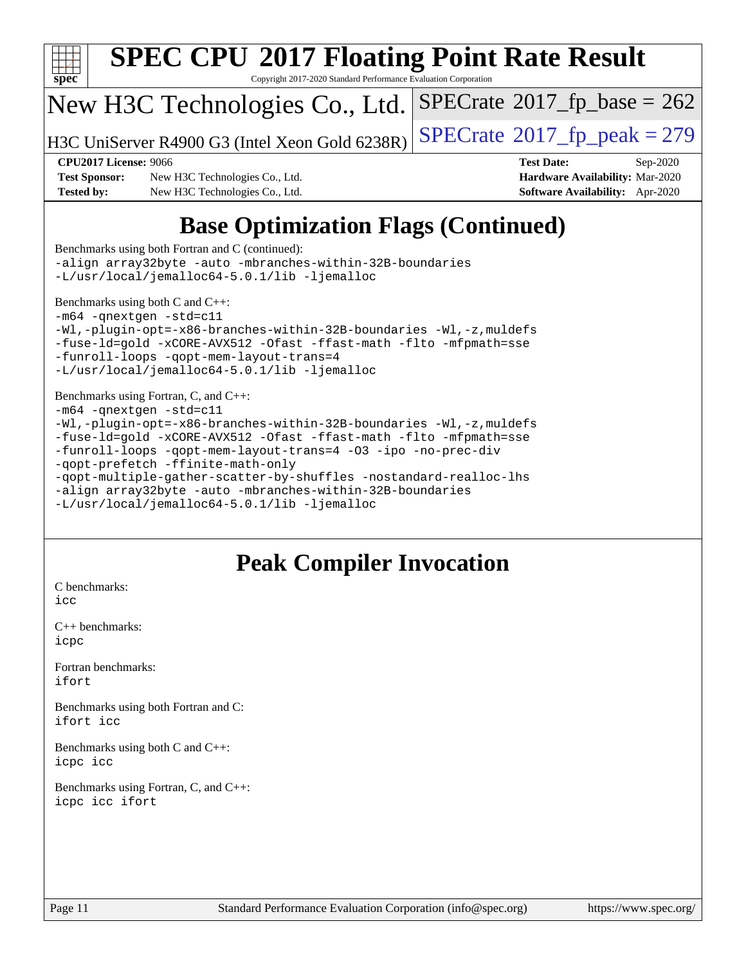

[Benchmarks using both Fortran and C](http://www.spec.org/auto/cpu2017/Docs/result-fields.html#BenchmarksusingbothFortranandC) (continued): [-align array32byte](http://www.spec.org/cpu2017/results/res2020q4/cpu2017-20201014-24212.flags.html#user_CC_FCbase_align_array32byte_b982fe038af199962ba9a80c053b8342c548c85b40b8e86eb3cc33dee0d7986a4af373ac2d51c3f7cf710a18d62fdce2948f201cd044323541f22fc0fffc51b6) [-auto](http://www.spec.org/cpu2017/results/res2020q4/cpu2017-20201014-24212.flags.html#user_CC_FCbase_f-auto) [-mbranches-within-32B-boundaries](http://www.spec.org/cpu2017/results/res2020q4/cpu2017-20201014-24212.flags.html#user_CC_FCbase_f-mbranches-within-32B-boundaries) [-L/usr/local/jemalloc64-5.0.1/lib](http://www.spec.org/cpu2017/results/res2020q4/cpu2017-20201014-24212.flags.html#user_CC_FCbase_jemalloc_link_path64_1_cc289568b1a6c0fd3b62c91b824c27fcb5af5e8098e6ad028160d21144ef1b8aef3170d2acf0bee98a8da324cfe4f67d0a3d0c4cc4673d993d694dc2a0df248b) [-ljemalloc](http://www.spec.org/cpu2017/results/res2020q4/cpu2017-20201014-24212.flags.html#user_CC_FCbase_jemalloc_link_lib_d1249b907c500fa1c0672f44f562e3d0f79738ae9e3c4a9c376d49f265a04b9c99b167ecedbf6711b3085be911c67ff61f150a17b3472be731631ba4d0471706)

[Benchmarks using both C and C++](http://www.spec.org/auto/cpu2017/Docs/result-fields.html#BenchmarksusingbothCandCXX): [-m64](http://www.spec.org/cpu2017/results/res2020q4/cpu2017-20201014-24212.flags.html#user_CC_CXXbase_m64-icc) [-qnextgen](http://www.spec.org/cpu2017/results/res2020q4/cpu2017-20201014-24212.flags.html#user_CC_CXXbase_f-qnextgen) [-std=c11](http://www.spec.org/cpu2017/results/res2020q4/cpu2017-20201014-24212.flags.html#user_CC_CXXbase_std-icc-std_0e1c27790398a4642dfca32ffe6c27b5796f9c2d2676156f2e42c9c44eaad0c049b1cdb667a270c34d979996257aeb8fc440bfb01818dbc9357bd9d174cb8524) [-Wl,-plugin-opt=-x86-branches-within-32B-boundaries](http://www.spec.org/cpu2017/results/res2020q4/cpu2017-20201014-24212.flags.html#user_CC_CXXbase_f-x86-branches-within-32B-boundaries_0098b4e4317ae60947b7b728078a624952a08ac37a3c797dfb4ffeb399e0c61a9dd0f2f44ce917e9361fb9076ccb15e7824594512dd315205382d84209e912f3) [-Wl,-z,muldefs](http://www.spec.org/cpu2017/results/res2020q4/cpu2017-20201014-24212.flags.html#user_CC_CXXbase_link_force_multiple1_b4cbdb97b34bdee9ceefcfe54f4c8ea74255f0b02a4b23e853cdb0e18eb4525ac79b5a88067c842dd0ee6996c24547a27a4b99331201badda8798ef8a743f577) [-fuse-ld=gold](http://www.spec.org/cpu2017/results/res2020q4/cpu2017-20201014-24212.flags.html#user_CC_CXXbase_f-fuse-ld_920b3586e2b8c6e0748b9c84fa9b744736ba725a32cab14ad8f3d4ad28eecb2f59d1144823d2e17006539a88734fe1fc08fc3035f7676166309105a78aaabc32) [-xCORE-AVX512](http://www.spec.org/cpu2017/results/res2020q4/cpu2017-20201014-24212.flags.html#user_CC_CXXbase_f-xCORE-AVX512) [-Ofast](http://www.spec.org/cpu2017/results/res2020q4/cpu2017-20201014-24212.flags.html#user_CC_CXXbase_f-Ofast) [-ffast-math](http://www.spec.org/cpu2017/results/res2020q4/cpu2017-20201014-24212.flags.html#user_CC_CXXbase_f-ffast-math) [-flto](http://www.spec.org/cpu2017/results/res2020q4/cpu2017-20201014-24212.flags.html#user_CC_CXXbase_f-flto) [-mfpmath=sse](http://www.spec.org/cpu2017/results/res2020q4/cpu2017-20201014-24212.flags.html#user_CC_CXXbase_f-mfpmath_70eb8fac26bde974f8ab713bc9086c5621c0b8d2f6c86f38af0bd7062540daf19db5f3a066d8c6684be05d84c9b6322eb3b5be6619d967835195b93d6c02afa1) [-funroll-loops](http://www.spec.org/cpu2017/results/res2020q4/cpu2017-20201014-24212.flags.html#user_CC_CXXbase_f-funroll-loops) [-qopt-mem-layout-trans=4](http://www.spec.org/cpu2017/results/res2020q4/cpu2017-20201014-24212.flags.html#user_CC_CXXbase_f-qopt-mem-layout-trans_fa39e755916c150a61361b7846f310bcdf6f04e385ef281cadf3647acec3f0ae266d1a1d22d972a7087a248fd4e6ca390a3634700869573d231a252c784941a8) [-L/usr/local/jemalloc64-5.0.1/lib](http://www.spec.org/cpu2017/results/res2020q4/cpu2017-20201014-24212.flags.html#user_CC_CXXbase_jemalloc_link_path64_1_cc289568b1a6c0fd3b62c91b824c27fcb5af5e8098e6ad028160d21144ef1b8aef3170d2acf0bee98a8da324cfe4f67d0a3d0c4cc4673d993d694dc2a0df248b) [-ljemalloc](http://www.spec.org/cpu2017/results/res2020q4/cpu2017-20201014-24212.flags.html#user_CC_CXXbase_jemalloc_link_lib_d1249b907c500fa1c0672f44f562e3d0f79738ae9e3c4a9c376d49f265a04b9c99b167ecedbf6711b3085be911c67ff61f150a17b3472be731631ba4d0471706)

[Benchmarks using Fortran, C, and C++:](http://www.spec.org/auto/cpu2017/Docs/result-fields.html#BenchmarksusingFortranCandCXX) [-m64](http://www.spec.org/cpu2017/results/res2020q4/cpu2017-20201014-24212.flags.html#user_CC_CXX_FCbase_m64-icc) [-qnextgen](http://www.spec.org/cpu2017/results/res2020q4/cpu2017-20201014-24212.flags.html#user_CC_CXX_FCbase_f-qnextgen) [-std=c11](http://www.spec.org/cpu2017/results/res2020q4/cpu2017-20201014-24212.flags.html#user_CC_CXX_FCbase_std-icc-std_0e1c27790398a4642dfca32ffe6c27b5796f9c2d2676156f2e42c9c44eaad0c049b1cdb667a270c34d979996257aeb8fc440bfb01818dbc9357bd9d174cb8524) [-Wl,-plugin-opt=-x86-branches-within-32B-boundaries](http://www.spec.org/cpu2017/results/res2020q4/cpu2017-20201014-24212.flags.html#user_CC_CXX_FCbase_f-x86-branches-within-32B-boundaries_0098b4e4317ae60947b7b728078a624952a08ac37a3c797dfb4ffeb399e0c61a9dd0f2f44ce917e9361fb9076ccb15e7824594512dd315205382d84209e912f3) [-Wl,-z,muldefs](http://www.spec.org/cpu2017/results/res2020q4/cpu2017-20201014-24212.flags.html#user_CC_CXX_FCbase_link_force_multiple1_b4cbdb97b34bdee9ceefcfe54f4c8ea74255f0b02a4b23e853cdb0e18eb4525ac79b5a88067c842dd0ee6996c24547a27a4b99331201badda8798ef8a743f577) [-fuse-ld=gold](http://www.spec.org/cpu2017/results/res2020q4/cpu2017-20201014-24212.flags.html#user_CC_CXX_FCbase_f-fuse-ld_920b3586e2b8c6e0748b9c84fa9b744736ba725a32cab14ad8f3d4ad28eecb2f59d1144823d2e17006539a88734fe1fc08fc3035f7676166309105a78aaabc32) [-xCORE-AVX512](http://www.spec.org/cpu2017/results/res2020q4/cpu2017-20201014-24212.flags.html#user_CC_CXX_FCbase_f-xCORE-AVX512) [-Ofast](http://www.spec.org/cpu2017/results/res2020q4/cpu2017-20201014-24212.flags.html#user_CC_CXX_FCbase_f-Ofast) [-ffast-math](http://www.spec.org/cpu2017/results/res2020q4/cpu2017-20201014-24212.flags.html#user_CC_CXX_FCbase_f-ffast-math) [-flto](http://www.spec.org/cpu2017/results/res2020q4/cpu2017-20201014-24212.flags.html#user_CC_CXX_FCbase_f-flto) [-mfpmath=sse](http://www.spec.org/cpu2017/results/res2020q4/cpu2017-20201014-24212.flags.html#user_CC_CXX_FCbase_f-mfpmath_70eb8fac26bde974f8ab713bc9086c5621c0b8d2f6c86f38af0bd7062540daf19db5f3a066d8c6684be05d84c9b6322eb3b5be6619d967835195b93d6c02afa1) [-funroll-loops](http://www.spec.org/cpu2017/results/res2020q4/cpu2017-20201014-24212.flags.html#user_CC_CXX_FCbase_f-funroll-loops) [-qopt-mem-layout-trans=4](http://www.spec.org/cpu2017/results/res2020q4/cpu2017-20201014-24212.flags.html#user_CC_CXX_FCbase_f-qopt-mem-layout-trans_fa39e755916c150a61361b7846f310bcdf6f04e385ef281cadf3647acec3f0ae266d1a1d22d972a7087a248fd4e6ca390a3634700869573d231a252c784941a8) [-O3](http://www.spec.org/cpu2017/results/res2020q4/cpu2017-20201014-24212.flags.html#user_CC_CXX_FCbase_f-O3) [-ipo](http://www.spec.org/cpu2017/results/res2020q4/cpu2017-20201014-24212.flags.html#user_CC_CXX_FCbase_f-ipo) [-no-prec-div](http://www.spec.org/cpu2017/results/res2020q4/cpu2017-20201014-24212.flags.html#user_CC_CXX_FCbase_f-no-prec-div) [-qopt-prefetch](http://www.spec.org/cpu2017/results/res2020q4/cpu2017-20201014-24212.flags.html#user_CC_CXX_FCbase_f-qopt-prefetch) [-ffinite-math-only](http://www.spec.org/cpu2017/results/res2020q4/cpu2017-20201014-24212.flags.html#user_CC_CXX_FCbase_f_finite_math_only_cb91587bd2077682c4b38af759c288ed7c732db004271a9512da14a4f8007909a5f1427ecbf1a0fb78ff2a814402c6114ac565ca162485bbcae155b5e4258871) [-qopt-multiple-gather-scatter-by-shuffles](http://www.spec.org/cpu2017/results/res2020q4/cpu2017-20201014-24212.flags.html#user_CC_CXX_FCbase_f-qopt-multiple-gather-scatter-by-shuffles) [-nostandard-realloc-lhs](http://www.spec.org/cpu2017/results/res2020q4/cpu2017-20201014-24212.flags.html#user_CC_CXX_FCbase_f_2003_std_realloc_82b4557e90729c0f113870c07e44d33d6f5a304b4f63d4c15d2d0f1fab99f5daaed73bdb9275d9ae411527f28b936061aa8b9c8f2d63842963b95c9dd6426b8a) [-align array32byte](http://www.spec.org/cpu2017/results/res2020q4/cpu2017-20201014-24212.flags.html#user_CC_CXX_FCbase_align_array32byte_b982fe038af199962ba9a80c053b8342c548c85b40b8e86eb3cc33dee0d7986a4af373ac2d51c3f7cf710a18d62fdce2948f201cd044323541f22fc0fffc51b6) [-auto](http://www.spec.org/cpu2017/results/res2020q4/cpu2017-20201014-24212.flags.html#user_CC_CXX_FCbase_f-auto) [-mbranches-within-32B-boundaries](http://www.spec.org/cpu2017/results/res2020q4/cpu2017-20201014-24212.flags.html#user_CC_CXX_FCbase_f-mbranches-within-32B-boundaries) [-L/usr/local/jemalloc64-5.0.1/lib](http://www.spec.org/cpu2017/results/res2020q4/cpu2017-20201014-24212.flags.html#user_CC_CXX_FCbase_jemalloc_link_path64_1_cc289568b1a6c0fd3b62c91b824c27fcb5af5e8098e6ad028160d21144ef1b8aef3170d2acf0bee98a8da324cfe4f67d0a3d0c4cc4673d993d694dc2a0df248b) [-ljemalloc](http://www.spec.org/cpu2017/results/res2020q4/cpu2017-20201014-24212.flags.html#user_CC_CXX_FCbase_jemalloc_link_lib_d1249b907c500fa1c0672f44f562e3d0f79738ae9e3c4a9c376d49f265a04b9c99b167ecedbf6711b3085be911c67ff61f150a17b3472be731631ba4d0471706)

### **[Peak Compiler Invocation](http://www.spec.org/auto/cpu2017/Docs/result-fields.html#PeakCompilerInvocation)**

[C benchmarks](http://www.spec.org/auto/cpu2017/Docs/result-fields.html#Cbenchmarks): [icc](http://www.spec.org/cpu2017/results/res2020q4/cpu2017-20201014-24212.flags.html#user_CCpeak_intel_icc_66fc1ee009f7361af1fbd72ca7dcefbb700085f36577c54f309893dd4ec40d12360134090235512931783d35fd58c0460139e722d5067c5574d8eaf2b3e37e92)

[C++ benchmarks:](http://www.spec.org/auto/cpu2017/Docs/result-fields.html#CXXbenchmarks) [icpc](http://www.spec.org/cpu2017/results/res2020q4/cpu2017-20201014-24212.flags.html#user_CXXpeak_intel_icpc_c510b6838c7f56d33e37e94d029a35b4a7bccf4766a728ee175e80a419847e808290a9b78be685c44ab727ea267ec2f070ec5dc83b407c0218cded6866a35d07)

[Fortran benchmarks](http://www.spec.org/auto/cpu2017/Docs/result-fields.html#Fortranbenchmarks): [ifort](http://www.spec.org/cpu2017/results/res2020q4/cpu2017-20201014-24212.flags.html#user_FCpeak_intel_ifort_8111460550e3ca792625aed983ce982f94888b8b503583aa7ba2b8303487b4d8a21a13e7191a45c5fd58ff318f48f9492884d4413fa793fd88dd292cad7027ca)

[Benchmarks using both Fortran and C](http://www.spec.org/auto/cpu2017/Docs/result-fields.html#BenchmarksusingbothFortranandC): [ifort](http://www.spec.org/cpu2017/results/res2020q4/cpu2017-20201014-24212.flags.html#user_CC_FCpeak_intel_ifort_8111460550e3ca792625aed983ce982f94888b8b503583aa7ba2b8303487b4d8a21a13e7191a45c5fd58ff318f48f9492884d4413fa793fd88dd292cad7027ca) [icc](http://www.spec.org/cpu2017/results/res2020q4/cpu2017-20201014-24212.flags.html#user_CC_FCpeak_intel_icc_66fc1ee009f7361af1fbd72ca7dcefbb700085f36577c54f309893dd4ec40d12360134090235512931783d35fd58c0460139e722d5067c5574d8eaf2b3e37e92)

[Benchmarks using both C and C++](http://www.spec.org/auto/cpu2017/Docs/result-fields.html#BenchmarksusingbothCandCXX): [icpc](http://www.spec.org/cpu2017/results/res2020q4/cpu2017-20201014-24212.flags.html#user_CC_CXXpeak_intel_icpc_c510b6838c7f56d33e37e94d029a35b4a7bccf4766a728ee175e80a419847e808290a9b78be685c44ab727ea267ec2f070ec5dc83b407c0218cded6866a35d07) [icc](http://www.spec.org/cpu2017/results/res2020q4/cpu2017-20201014-24212.flags.html#user_CC_CXXpeak_intel_icc_66fc1ee009f7361af1fbd72ca7dcefbb700085f36577c54f309893dd4ec40d12360134090235512931783d35fd58c0460139e722d5067c5574d8eaf2b3e37e92)

[Benchmarks using Fortran, C, and C++:](http://www.spec.org/auto/cpu2017/Docs/result-fields.html#BenchmarksusingFortranCandCXX) [icpc](http://www.spec.org/cpu2017/results/res2020q4/cpu2017-20201014-24212.flags.html#user_CC_CXX_FCpeak_intel_icpc_c510b6838c7f56d33e37e94d029a35b4a7bccf4766a728ee175e80a419847e808290a9b78be685c44ab727ea267ec2f070ec5dc83b407c0218cded6866a35d07) [icc](http://www.spec.org/cpu2017/results/res2020q4/cpu2017-20201014-24212.flags.html#user_CC_CXX_FCpeak_intel_icc_66fc1ee009f7361af1fbd72ca7dcefbb700085f36577c54f309893dd4ec40d12360134090235512931783d35fd58c0460139e722d5067c5574d8eaf2b3e37e92) [ifort](http://www.spec.org/cpu2017/results/res2020q4/cpu2017-20201014-24212.flags.html#user_CC_CXX_FCpeak_intel_ifort_8111460550e3ca792625aed983ce982f94888b8b503583aa7ba2b8303487b4d8a21a13e7191a45c5fd58ff318f48f9492884d4413fa793fd88dd292cad7027ca)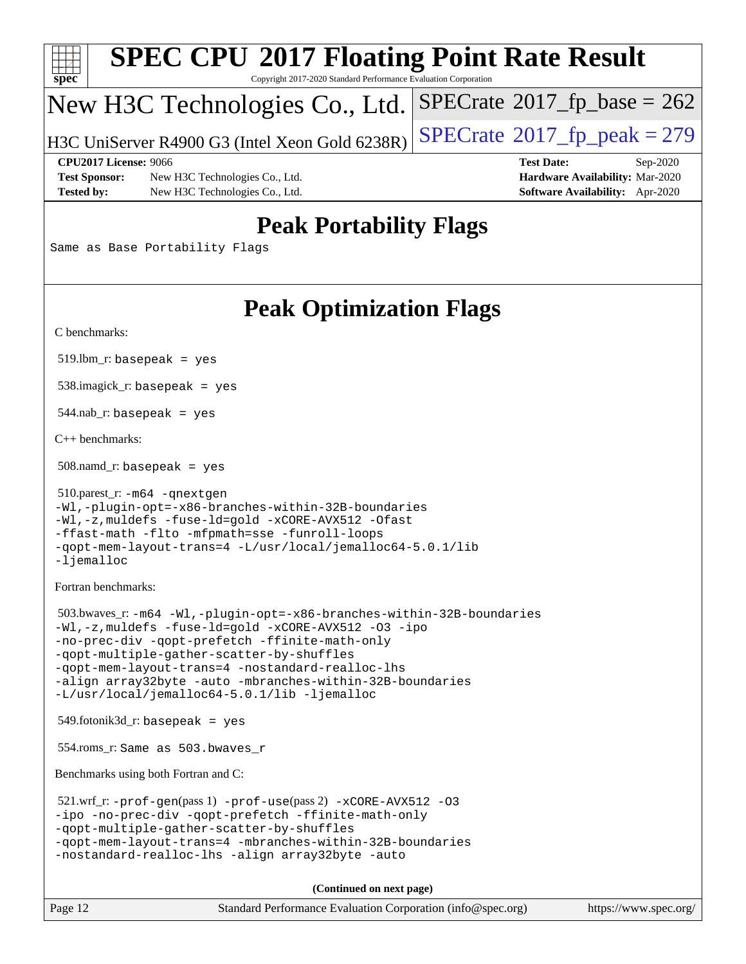| SI<br>оe<br>Ľ |  |  |  |  |  |  |
|---------------|--|--|--|--|--|--|

# **[SPEC CPU](http://www.spec.org/auto/cpu2017/Docs/result-fields.html#SPECCPU2017FloatingPointRateResult)[2017 Floating Point Rate Result](http://www.spec.org/auto/cpu2017/Docs/result-fields.html#SPECCPU2017FloatingPointRateResult)**

Copyright 2017-2020 Standard Performance Evaluation Corporation

## New H3C Technologies Co., Ltd.

H3C UniServer R4900 G3 (Intel Xeon Gold  $6238R$ ) [SPECrate](http://www.spec.org/auto/cpu2017/Docs/result-fields.html#SPECrate2017fppeak)®[2017\\_fp\\_peak = 2](http://www.spec.org/auto/cpu2017/Docs/result-fields.html#SPECrate2017fppeak)79

 $SPECTate$ <sup>®</sup>[2017\\_fp\\_base =](http://www.spec.org/auto/cpu2017/Docs/result-fields.html#SPECrate2017fpbase) 262

**[Test Sponsor:](http://www.spec.org/auto/cpu2017/Docs/result-fields.html#TestSponsor)** New H3C Technologies Co., Ltd. **[Hardware Availability:](http://www.spec.org/auto/cpu2017/Docs/result-fields.html#HardwareAvailability)** Mar-2020 **[Tested by:](http://www.spec.org/auto/cpu2017/Docs/result-fields.html#Testedby)** New H3C Technologies Co., Ltd. **[Software Availability:](http://www.spec.org/auto/cpu2017/Docs/result-fields.html#SoftwareAvailability)** Apr-2020

**[CPU2017 License:](http://www.spec.org/auto/cpu2017/Docs/result-fields.html#CPU2017License)** 9066 **[Test Date:](http://www.spec.org/auto/cpu2017/Docs/result-fields.html#TestDate)** Sep-2020

### **[Peak Portability Flags](http://www.spec.org/auto/cpu2017/Docs/result-fields.html#PeakPortabilityFlags)**

Same as Base Portability Flags

### **[Peak Optimization Flags](http://www.spec.org/auto/cpu2017/Docs/result-fields.html#PeakOptimizationFlags)**

[C benchmarks](http://www.spec.org/auto/cpu2017/Docs/result-fields.html#Cbenchmarks):

 $519.$ lbm\_r: basepeak = yes

538.imagick\_r: basepeak = yes

544.nab\_r: basepeak = yes

[C++ benchmarks:](http://www.spec.org/auto/cpu2017/Docs/result-fields.html#CXXbenchmarks)

508.namd\_r: basepeak = yes

```
 510.parest_r: -m64 -qnextgen
-Wl,-plugin-opt=-x86-branches-within-32B-boundaries
-Wl,-z,muldefs -fuse-ld=gold -xCORE-AVX512 -Ofast
-ffast-math -flto -mfpmath=sse -funroll-loops
-qopt-mem-layout-trans=4 -L/usr/local/jemalloc64-5.0.1/lib
-ljemalloc
```
[Fortran benchmarks](http://www.spec.org/auto/cpu2017/Docs/result-fields.html#Fortranbenchmarks):

```
 503.bwaves_r: -m64 -Wl,-plugin-opt=-x86-branches-within-32B-boundaries
-Wl,-z,muldefs -fuse-ld=gold -xCORE-AVX512 -O3 -ipo
-no-prec-div -qopt-prefetch -ffinite-math-only
-qopt-multiple-gather-scatter-by-shuffles
-qopt-mem-layout-trans=4 -nostandard-realloc-lhs
-align array32byte -auto -mbranches-within-32B-boundaries
-L/usr/local/jemalloc64-5.0.1/lib -ljemalloc
```
549.fotonik3d\_r: basepeak = yes

554.roms\_r: Same as 503.bwaves\_r

[Benchmarks using both Fortran and C](http://www.spec.org/auto/cpu2017/Docs/result-fields.html#BenchmarksusingbothFortranandC):

```
 521.wrf_r: -prof-gen(pass 1) -prof-use(pass 2) -xCORE-AVX512 -O3
-ipo -no-prec-div -qopt-prefetch -ffinite-math-only
-qopt-multiple-gather-scatter-by-shuffles
-qopt-mem-layout-trans=4 -mbranches-within-32B-boundaries
-nostandard-realloc-lhs -align array32byte -auto
```
**(Continued on next page)**